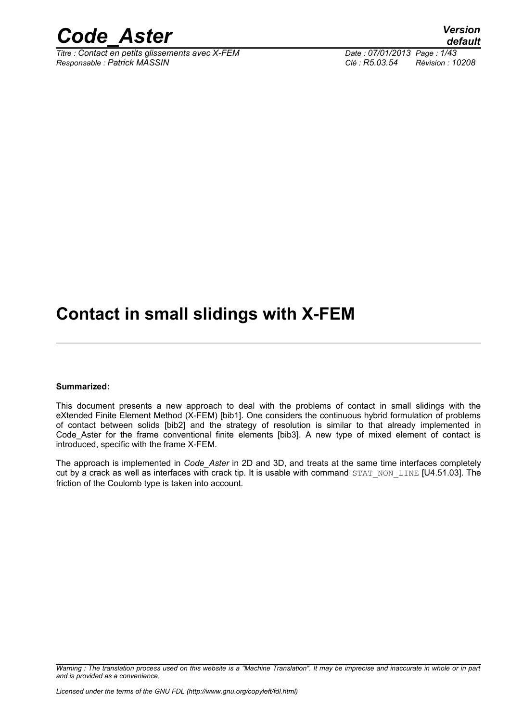

*Titre : Contact en petits glissements avec X-FEM Date : 07/01/2013 Page : 1/43 Responsable : Patrick MASSIN Clé : R5.03.54 Révision : 10208*

*default*

## **Contact in small slidings with X-FEM**

#### **Summarized:**

This document presents a new approach to deal with the problems of contact in small slidings with the eXtended Finite Element Method (X-FEM) [bib1]. One considers the continuous hybrid formulation of problems of contact between solids [bib2] and the strategy of resolution is similar to that already implemented in Code\_Aster for the frame conventional finite elements [bib3]. A new type of mixed element of contact is introduced, specific with the frame X-FEM.

The approach is implemented in *Code\_Aster* in 2D and 3D, and treats at the same time interfaces completely cut by a crack as well as interfaces with crack tip. It is usable with command STAT\_NON\_LINE [U4.51.03]. The friction of the Coulomb type is taken into account.

*Warning : The translation process used on this website is a "Machine Translation". It may be imprecise and inaccurate in whole or in part and is provided as a convenience.*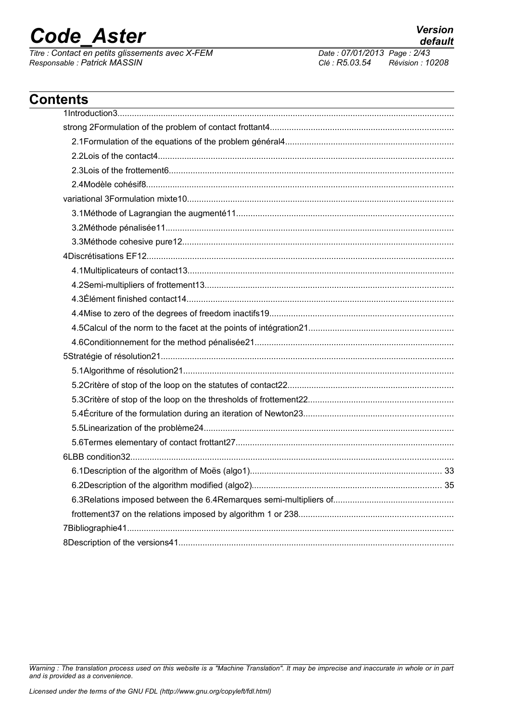$\overline{T}$ *Titre : Contact en petits glissements avec X-FEM Responsable : Patrick MASSIN Clé : R5.03.54 Révision : 10208*

*default*

## **Contents** 1Introduction3............................................................................................................................................ strong 2Formulation of the problem of contact frottant4............................................................................ 2.1Formulation of the equations of the problem général4...................................................................... 2.2Lois of the contact4........................................................................................................................... 2.3Lois of the frottement6...................................................................................................................... 2.4Modèle cohésif8................................................................................................................................ variational 3Formulation mixte10............................................................................................................... 3.1Méthode of Lagrangian the augmenté11.......................................................................................... 3.2Méthode pénalisée11........................................................................................................................ 3.3Méthode cohesive pure12................................................................................................................. 4Discrétisations EF12................................................................................................................................ 4.1Multiplicateurs of contact13............................................................................................................... 4.2Semi-multipliers of frottement13....................................................................................................... 4.3Élément finished contact14............................................................................................................... 4.4Mise to zero of the degrees of freedom inactifs19............................................................................ 4.5Calcul of the norm to the facet at the points of intégration21............................................................ 4.6Conditionnement for the method pénalisée21................................................................................... 5Stratégie of résolution21.......................................................................................................................... 5.1Algorithme of résolution21................................................................................................................ 5.2Critère of stop of the loop on the statutes of contact22..................................................................... 5.3Critère of stop of the loop on the thresholds of frottement22............................................................ 5.4Écriture of the formulation during an iteration of Newton23.............................................................. 5.5Linearization of the problème24........................................................................................................ 5.6Termes elementary of contact frottant27........................................................................................... 6LBB condition32...................................................................................................................................... 6.1Description of the algorithm of Moës (algo1)................................................................................ 33 6.2Description of the algorithm modified (algo2)............................................................................... 35 6.3Relations imposed between the 6.4Remarques semi-multipliers of.................................................. frottement37 on the relations imposed by algorithm 1 or 238................................................................ 7Bibliographie41........................................................................................................................................ 8Description of the versions41..................................................................................................................

*Warning : The translation process used on this website is a "Machine Translation". It may be imprecise and inaccurate in whole or in part and is provided as a convenience.*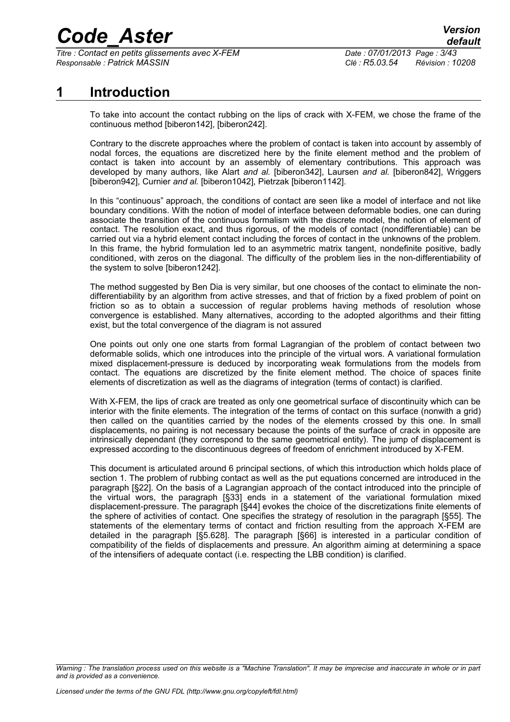*Titre : Contact en petits glissements avec X-FEM Date : 07/01/2013 Page : 3/43 Responsable : Patrick MASSIN Clé : R5.03.54 Révision : 10208*

## **1 Introduction**

To take into account the contact rubbing on the lips of crack with X-FEM, we chose the frame of the continuous method [biberon[142\]](#page-41-0), [biberon[242\]](#page-41-7).

Contrary to the discrete approaches where the problem of contact is taken into account by assembly of nodal forces, the equations are discretized here by the finite element method and the problem of contact is taken into account by an assembly of elementary contributions. This approach was developed by many authors, like Alart *and al.* [biberon[342\]](#page-41-6), Laursen *and al.* [biberon[842\]](#page-41-5), Wriggers [biberon[942\]](#page-41-4), Curnier *and al.* [biberon1[042\]](#page-41-3), Pietrzak [biberon1[142\]](#page-41-2).

In this "continuous" approach, the conditions of contact are seen like a model of interface and not like boundary conditions. With the notion of model of interface between deformable bodies, one can during associate the transition of the continuous formalism with the discrete model, the notion of element of contact. The resolution exact, and thus rigorous, of the models of contact (nondifferentiable) can be carried out via a hybrid element contact including the forces of contact in the unknowns of the problem. In this frame, the hybrid formulation led to an asymmetric matrix tangent, nondefinite positive, badly conditioned, with zeros on the diagonal. The difficulty of the problem lies in the non-differentiability of the system to solve [biberon1[242\]](#page-41-1).

The method suggested by Ben Dia is very similar, but one chooses of the contact to eliminate the nondifferentiability by an algorithm from active stresses, and that of friction by a fixed problem of point on friction so as to obtain a succession of regular problems having methods of resolution whose convergence is established. Many alternatives, according to the adopted algorithms and their fitting exist, but the total convergence of the diagram is not assured

One points out only one one starts from formal Lagrangian of the problem of contact between two deformable solids, which one introduces into the principle of the virtual wors. A variational formulation mixed displacement-pressure is deduced by incorporating weak formulations from the models from contact. The equations are discretized by the finite element method. The choice of spaces finite elements of discretization as well as the diagrams of integration (terms of contact) is clarified.

With X-FEM, the lips of crack are treated as only one geometrical surface of discontinuity which can be interior with the finite elements. The integration of the terms of contact on this surface (nonwith a grid) then called on the quantities carried by the nodes of the elements crossed by this one. In small displacements, no pairing is not necessary because the points of the surface of crack in opposite are intrinsically dependant (they correspond to the same geometrical entity). The jump of displacement is expressed according to the discontinuous degrees of freedom of enrichment introduced by X-FEM.

This document is articulated around 6 principal sections, of which this introduction which holds place of section 1. The problem of rubbing contact as well as the put equations concerned are introduced in the paragraph [§[22\]](#page-3-0). On the basis of a Lagrangian approach of the contact introduced into the principle of the virtual wors, the paragraph [§[33\]](#page-10-0) ends in a statement of the variational formulation mixed displacement-pressure. The paragraph [§[44\]](#page-14-0) evokes the choice of the discretizations finite elements of the sphere of activities of contact. One specifies the strategy of resolution in the paragraph [§[55\]](#page-21-0). The statements of the elementary terms of contact and friction resulting from the approach X-FEM are detailed in the paragraph [§5.[628\]](#page-27-0). The paragraph [§[66\]](#page-34-0) is interested in a particular condition of compatibility of the fields of displacements and pressure. An algorithm aiming at determining a space of the intensifiers of adequate contact (i.e. respecting the LBB condition) is clarified.

*Warning : The translation process used on this website is a "Machine Translation". It may be imprecise and inaccurate in whole or in part and is provided as a convenience.*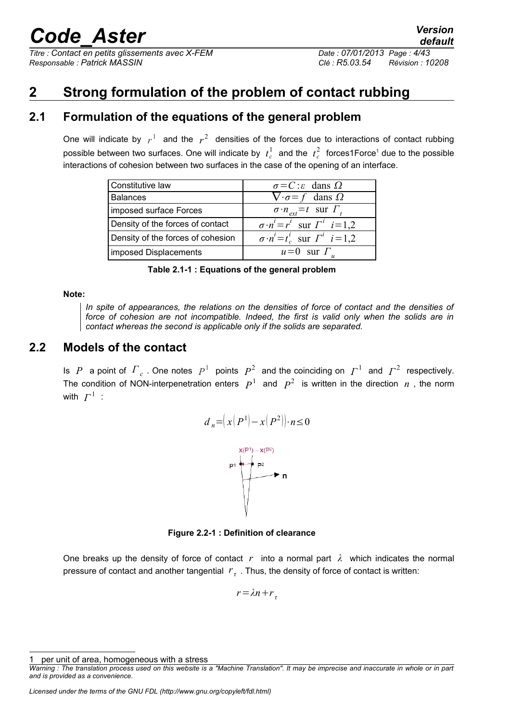*Titre : Contact en petits glissements avec X-FEM Date : 07/01/2013 Page : 4/43 Responsable : Patrick MASSIN Clé : R5.03.54 Révision : 10208*

## <span id="page-3-0"></span>**2 Strong formulation of the problem of contact rubbing**

## **2.1 Formulation of the equations of the general problem**

One will indicate by  $r^1$  and the  $r^2$  densities of the forces due to interactions of contact rubbing possible between two surfaces. One will indicate by  $t_c^1$  $t_c^1$  and the  $t_c^2$  forces1Force<sup>1</sup> due to the possible interactions of cohesion between two surfaces in the case of the opening of an interface.

| Constitutive law                  | $\sigma = C$ : $\varepsilon$ dans $\Omega$           |
|-----------------------------------|------------------------------------------------------|
| <b>Balances</b>                   | $\nabla \cdot \sigma = f$ dans $\Omega$              |
| imposed surface Forces            | $\sigma \cdot n_{ext} = t$ sur $\overline{\Gamma}_t$ |
| Density of the forces of contact  | $\sigma \cdot n^i = r^i$ sur $\Gamma^i$ $i=1,2$      |
| Density of the forces of cohesion | $\sigma \cdot n^i = t_c^i$ sur $\Gamma^i$ $i = 1,2$  |
| imposed Displacements             | $u=0$ sur $\Gamma_u$                                 |

**Table 2.1-1 : Equations of the general problem**

#### **Note:**

*In spite of appearances, the relations on the densities of force of contact and the densities of force of cohesion are not incompatible. Indeed, the first is valid only when the solids are in contact whereas the second is applicable only if the solids are separated.*

## **2.2 Models of the contact**

Is *P* a point of  $\Gamma_c$  . One notes  $P^1$  points  $P^2$  and the coinciding on  $\Gamma^1$  and  $\Gamma^2$  respectively. The condition of NON-interpenetration enters  $P^1$  and  $P^2$  is written in the direction  $n$  , the norm with  $\varGamma^1$  :

$$
d_n = \left(x\left(P^1\right) - x\left(P^2\right)\right) \cdot n \le 0
$$



<span id="page-3-2"></span>**Figure 2.2-1 : Definition of clearance**

One breaks up the density of force of contact  $r$  into a normal part  $\lambda$  which indicates the normal pressure of contact and another tangential *r*<sub>τ</sub>. Thus, the density of force of contact is written:

 $r = \lambda n + r_{\tau}$ 

<span id="page-3-1"></span>per unit of area, homogeneous with a stress

*Warning : The translation process used on this website is a "Machine Translation". It may be imprecise and inaccurate in whole or in part and is provided as a convenience.*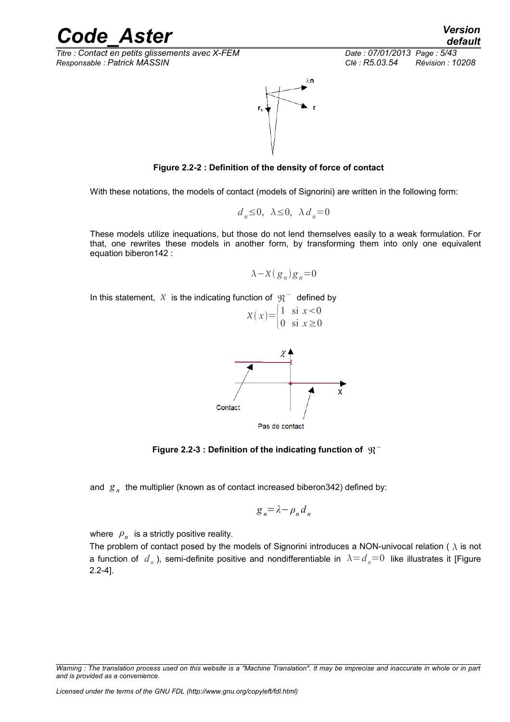*Titre : Contact en petits glissements avec X-FEM Date : 07/01/2013 Page : 5/43 Responsable : Patrick MASSIN Clé : R5.03.54 Révision : 10208*



**Figure 2.2-2 : Definition of the density of force of contact**

With these notations, the models of contact (models of Signorini) are written in the following form:

$$
d_n \le 0, \ \lambda \le 0, \ \lambda d_n = 0
$$

These models utilize inequations, but those do not lend themselves easily to a weak formulation. For that, one rewrites these models in another form, by transforming them into only one equivalent equation biberon[142](#page-41-0) :

$$
\lambda - \chi(g_n)g_n = 0
$$

In this statement,  $|X|$  is the indicating function of  $|{\mathfrak{R}}^+|$  defined by



Figure 2.2-3 : Definition of the indicating function of  $\,\mathfrak{R}^-$ 

and *g <sup>n</sup>* the multiplier (known as of contact increased biberon[342\)](#page-41-6) defined by:

$$
g_n = \lambda - \rho_n d_n
$$

where  $\rho_n^{\parallel}$  is a strictly positive reality.

The problem of contact posed by the models of Signorini introduces a NON-univocal relation ( $\lambda$  is not a function of  $d_n$  ), semi-definite positive and nondifferentiable in  $\lambda \!=\! d_n \!=\! 0$  like illustrates it [\[Figure](#page-5-0) [2.2-4\]](#page-5-0).

*Warning : The translation process used on this website is a "Machine Translation". It may be imprecise and inaccurate in whole or in part and is provided as a convenience.*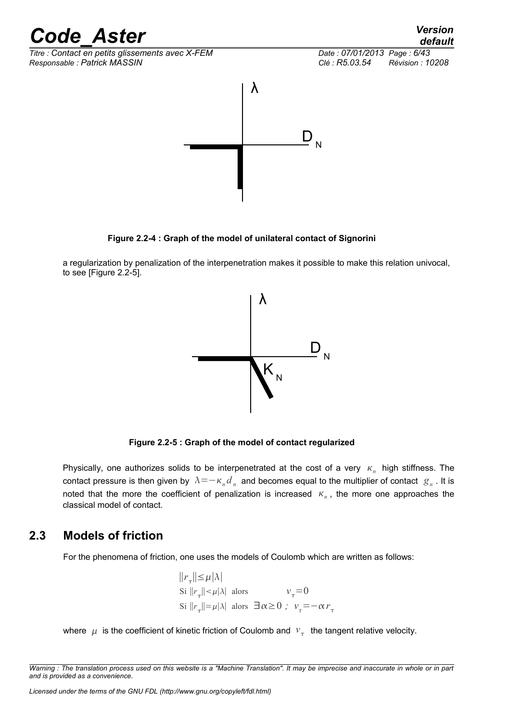*Titre : Contact en petits glissements avec X-FEM Date : 07/01/2013 Page : 6/43 Responsable : Patrick MASSIN Clé : R5.03.54 Révision : 10208* λ D N

<span id="page-5-0"></span>**Figure 2.2-4 : Graph of the model of unilateral contact of Signorini**

a regularization by penalization of the interpenetration makes it possible to make this relation univocal, to see [\[Figure 2.2-5\]](#page-5-1).



<span id="page-5-1"></span>**Figure 2.2-5 : Graph of the model of contact regularized**

Physically, one authorizes solids to be interpenetrated at the cost of a very  $K_n$  high stiffness. The contact pressure is then given by  $\,\lambda \!=\! -\kappa_{_n}d_{_n}\,$  and becomes equal to the multiplier of contact  $\,\mathcal{g}_{_n}$  . It is noted that the more the coefficient of penalization is increased  $\kappa_n$ , the more one approaches the classical model of contact.

## **2.3 Models of friction**

<span id="page-5-2"></span>For the phenomena of friction, one uses the models of Coulomb which are written as follows:

$$
||r_{\tau}|| \leq \mu |\lambda|
$$
  
\nSi  $||r_{\tau}|| < \mu |\lambda|$  alors  $v_{\tau} = 0$   
\nSi  $||r_{\tau}|| = \mu |\lambda|$  alors  $\exists \alpha \geq 0$ ;  $v_{\tau} = -\alpha r_{\tau}$ 

where  $|\mu|$  is the coefficient of kinetic friction of Coulomb and  $|v_\tau|$  the tangent relative velocity.

*Warning : The translation process used on this website is a "Machine Translation". It may be imprecise and inaccurate in whole or in part and is provided as a convenience.*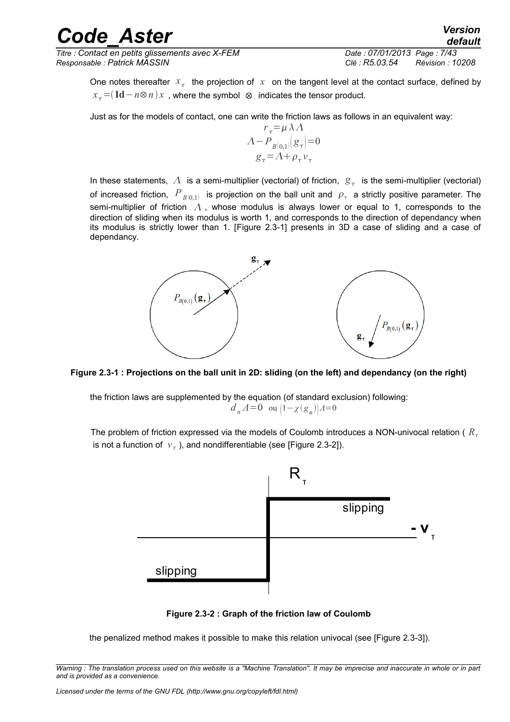*Titre : Contact en petits glissements avec X-FEM Date : 07/01/2013 Page : 7/43 Responsable : Patrick MASSIN Clé : R5.03.54 Révision : 10208*

*default*

One notes thereafter  $x_{\tau}$  the projection of  $x$  on the tangent level at the contact surface, defined by  $x = (\text{Id} - n \otimes n)x$ , where the symbol ⊗ indicates the tensor product.

Just as for the models of contact, one can write the friction laws as follows in an equivalent way:

$$
r_{\tau} = \mu \lambda \Lambda
$$
  
 
$$
\Lambda - P_{B(0,1)}(g_{\tau}) = 0
$$
  
 
$$
g_{\tau} = \Lambda + \rho_{\tau} v_{\tau}
$$

In these statements,  $|\bar{A}|$  is a semi-multiplier (vectorial) of friction,  $|\bar{g}_{\tau}|$  is the semi-multiplier (vectorial) of increased friction,  $\left. P_{\ B[0,1]} \right.$  is projection on the ball unit and  $\,\rho_{\tau}\,$  a strictly positive parameter. The semi-multiplier of friction  $\Lambda$ , whose modulus is always lower or equal to 1, corresponds to the direction of sliding when its modulus is worth 1, and corresponds to the direction of dependancy when its modulus is strictly lower than 1. [[Figure 2.3-1\]](#page-6-1) presents in 3D a case of sliding and a case of dependancy.



<span id="page-6-1"></span>

the friction laws are supplemented by the equation (of standard exclusion) following: *d*<sub>*n*</sub></sub> $\Lambda = 0$  ou  $(1 - \chi(g_n))\Lambda = 0$ 

The problem of friction expressed via the models of Coulomb introduces a NON-univocal relation ( $R_{\tau}$ is not a function of  $v_{\tau}$ , and nondifferentiable (see [\[Figure 2.3-2\]](#page-6-0)).



<span id="page-6-0"></span>**Figure 2.3-2 : Graph of the friction law of Coulomb**

the penalized method makes it possible to make this relation univocal (see [\[Figure 2.3-3\]](#page-7-0)).

*Warning : The translation process used on this website is a "Machine Translation". It may be imprecise and inaccurate in whole or in part and is provided as a convenience.*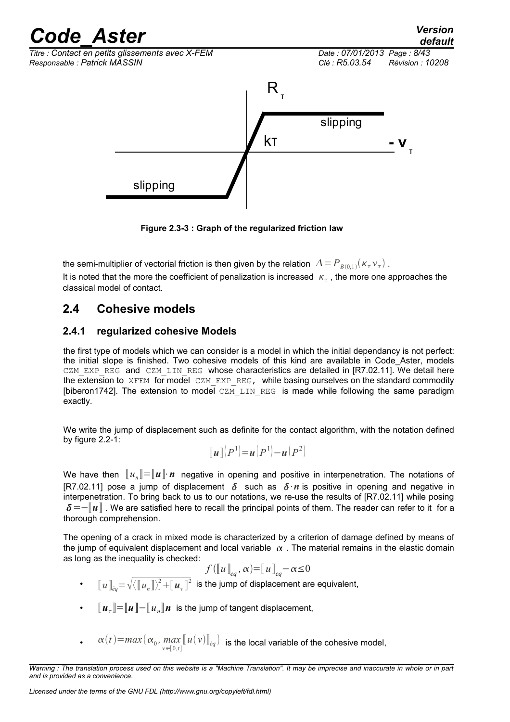

<span id="page-7-0"></span>**Figure 2.3-3 : Graph of the regularized friction law**

the semi-multiplier of vectorial friction is then given by the relation  $|A\! =\! P_{\overline{B(0,1)}}(\kappa_{\tau} \nu_{\tau})$  . It is noted that the more the coefficient of penalization is increased  $\kappa_{\tau}$  , the more one approaches the classical model of contact.

## **2.4 Cohesive models**

### <span id="page-7-1"></span>**2.4.1 regularized cohesive Models**

the first type of models which we can consider is a model in which the initial dependancy is not perfect: the initial slope is finished. Two cohesive models of this kind are available in Code\_Aster, models CZM\_EXP\_REG and CZM\_LIN\_REG whose characteristics are detailed in [R7.02.11]. We detail here the extension to XFEM for model CZM EXP REG, while basing ourselves on the standard commodity [biberon1[742\]](#page-41-8). The extension to model  $CZ\overline{M}$  LIN REG is made while following the same paradigm exactly.

We write the jump of displacement such as definite for the contact algorithm, with the notation defined by figure [2.2-1:](#page-3-2)

$$
\llbracket \boldsymbol{u} \rrbracket \big( P^1 \big) = \boldsymbol{u} \big( P^1 \big) - \boldsymbol{u} \big( P^2 \big)
$$

We have then  $\llbracket u_n \rrbracket \!=\! \llbracket \bm{u} \rrbracket \!\cdot\! \bm{n}$  negative in opening and positive in interpenetration. The notations of [R7.02.11] pose a jump of displacement  $\delta$  such as  $\delta \cdot n$  is positive in opening and negative in interpenetration. To bring back to us to our notations, we re-use the results of [R7.02.11] while posing =−〚*u*〛 . We are satisfied here to recall the principal points of them. The reader can refer to it for a thorough comprehension.

The opening of a crack in mixed mode is characterized by a criterion of damage defined by means of the jump of equivalent displacement and local variable  $\alpha$ . The material remains in the elastic domain as long as the inequality is checked:

$$
f([u]_{eq}, \alpha) = [u]_{eq} - \alpha \leq 0
$$

- $\llbracket u \rrbracket_{eq} = \sqrt{\langle \llbracket u_n \rrbracket \rangle^2 + \llbracket u_{\tau} \rrbracket^2}$  is the jump of displacement are equivalent,
- 〚*u* 〛=〚*u*〛−〚*u<sup>n</sup>* 〛*n* is the jump of tangent displacement,
- $\alpha(t) = max\{\alpha_0, max\}$  $\max\limits_{v \in [0,t]}\llbracket u(v) \rrbracket_{eq}$  is the local variable of the cohesive model,

*Warning : The translation process used on this website is a "Machine Translation". It may be imprecise and inaccurate in whole or in part and is provided as a convenience.*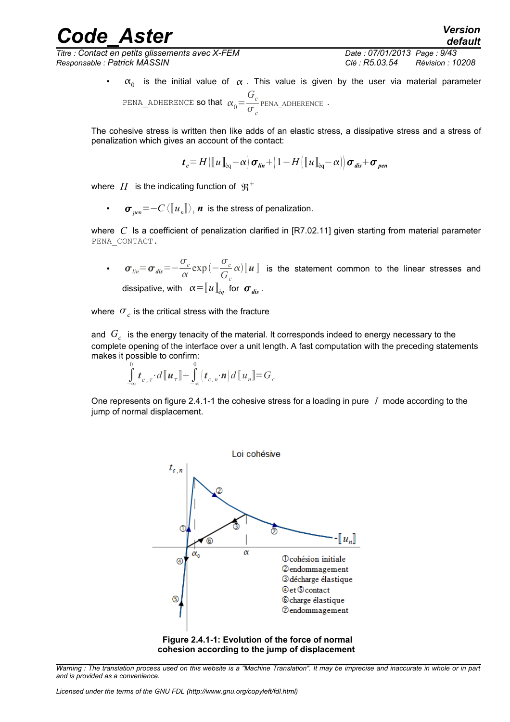*Titre : Contact en petits glissements avec X-FEM Date : 07/01/2013 Page : 9/43 Responsable : Patrick MASSIN Clé : R5.03.54 Révision : 10208*

•  $\alpha_0$  is the initial value of  $\alpha$  . This value is given by the user via material parameter PENA\_ADHERENCE **so that**  $\alpha_0$  = *Gc*  $\frac{c}{\sigma_c}$  PENA\_ADHERENCE .

The cohesive stress is written then like adds of an elastic stress, a dissipative stress and a stress of penalization which gives an account of the contact:

$$
t_c = H\left(\left[\!\left[ u \right]\!\right]_{\text{eq}} - \alpha\right) \sigma_{\text{lin}} + \left(\frac{1 - H\left(\left[\!\left[ u \right]\!\right]_{\text{eq}} - \alpha\right)}{\sigma_{\text{dis}}} + \sigma_{\text{pen}}
$$

where  $\,H\,$  is the indicating function of  $\,\mathfrak{R}^{\,+}$ 

• *pen*=−*C* 〈〚*u<sup>n</sup>* 〛〉 <sup>+</sup> *n* is the stress of penalization.

where *C* Is a coefficient of penalization clarified in [R7.02.11] given starting from material parameter PENA\_CONTACT.

• *lin*=*dis*=−  $\sigma_c^{\prime}$  $\frac{\sigma_c}{\alpha}$ exp $\left(-\frac{\sigma_c}{G}\right)$ *Gc*  $\alpha$ ) $\llbracket u \rrbracket$  is the statement common to the linear stresses and dissipative, with  $\alpha = [u]_{\dot{e}_q}$  for  $\sigma_{\text{dis}}$ .

where  $\sigma_c$  is the critical stress with the fracture

and *G<sup>c</sup>* is the energy tenacity of the material. It corresponds indeed to energy necessary to the complete opening of the interface over a unit length. A fast computation with the preceding statements makes it possible to confirm:

$$
\int_{-\infty}^{0} \boldsymbol{t}_{c,\tau} \cdot d\lbrack\!\lbrack \boldsymbol{u}_{\tau}\rbrack\!\rbrack + \int_{-\infty}^{0} \left(\boldsymbol{t}_{c,n} \cdot \boldsymbol{n}\right) d\lbrack\!\lbrack u_{n}\rbrack\!\rbrack = G_{c}
$$

One represents on figure [2.4.1-1](#page-8-0) the cohesive stress for a loading in pure *I* mode according to the jump of normal displacement.



<span id="page-8-0"></span>*Warning : The translation process used on this website is a "Machine Translation". It may be imprecise and inaccurate in whole or in part and is provided as a convenience.*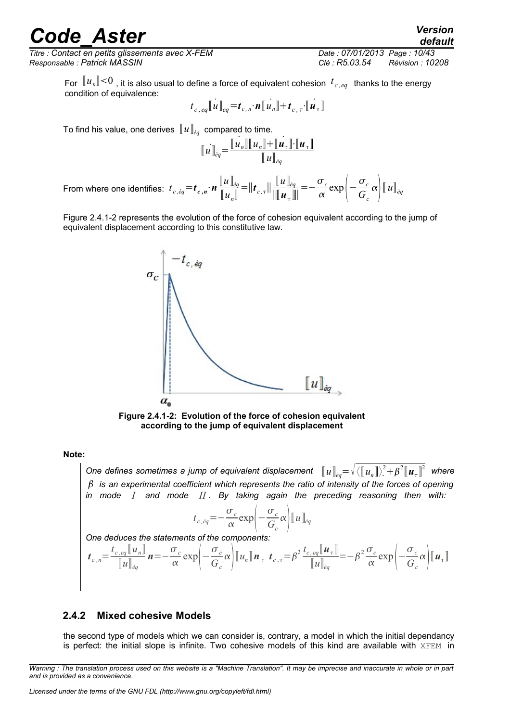*Titre : Contact en petits glissements avec X-FEM Date : 07/01/2013 Page : 10/43 Responsable : Patrick MASSIN Clé : R5.03.54 Révision : 10208*

*default*

For  $\llbracket u_n \rrbracket {<} 0$  , it is also usual to define a force of equivalent cohesion  $\,t_{c,\,eq}\,$  thanks to the energy condition of equivalence:

$$
t_{c,eq}[[u]]_{eq} = t_{c,n} \cdot n[[u_n]] + t_{c,\tau} \cdot [[u_\tau]]
$$

To find his value, one derives  $\llbracket u \rrbracket_{\dot{e}q}$  compared to time.

$$
\llbracket u \rrbracket_{\stackrel{\partial q}{=}} = \frac{\llbracket u_n \rrbracket \llbracket u_n \rrbracket + \llbracket u_r \rrbracket \cdot \llbracket u_r \rrbracket}{\llbracket u \rrbracket_{\stackrel{\partial q}{=}}
$$

From where one identifies:  $t_{c,eq} = t_{c,n} \cdot n$  $[\![u]\!]_{\grave{e}q}$  $\llbracket u_{\scriptscriptstyle n} \rrbracket$  $=$   $||t_{c,\tau}||$  $[\![u]\!]_{\grave{e}q}$  $\|$ <sup>*u*</sup> $\mathrm{u}$ <sub>τ</sub> $\|$ |  $=-\frac{\sigma_c}{\sigma_c}$  $\frac{\sigma_c}{\alpha}$ exp $\left(-\frac{\sigma_c}{G}\right)$  $\left. \frac{\partial}{\partial c} c \right| \llbracket u \rrbracket_{eq}$ 

Figure [2.4.1-2](#page-9-0) represents the evolution of the force of cohesion equivalent according to the jump of equivalent displacement according to this constitutive law.



<span id="page-9-0"></span>**Figure 2.4.1-2: Evolution of the force of cohesion equivalent according to the jump of equivalent displacement**

#### **Note:**

One defines sometimes a jump of equivalent displacement  $\; \; \; [\![u]\!]_{eq} = \sqrt{\bra{\llbracket u_n \rrbracket}^2 + \beta^2} \llbracket u_\tau \rrbracket^2 \;$  where  *is an experimental coefficient which represents the ratio of intensity of the forces of opening in mode I and mode II . By taking again the preceding reasoning then with:* 

$$
t_{c,\dot{e}q} = -\frac{\sigma_c}{\alpha} \exp\left(-\frac{\sigma_c}{G_c}\alpha\right) \llbracket u \rrbracket_{\dot{e}q}
$$

*One deduces the statements of the components:*

$$
\boldsymbol{t}_{c,n} = \frac{t_{c,eq}[\![u_n]\!]}{[\![u]\!]_{eq}} \boldsymbol{n} = -\frac{\sigma_c}{\alpha} \exp\left(-\frac{\sigma_c}{G_c}\alpha\right) [\![u_n]\!] \boldsymbol{n} \; , \; \boldsymbol{t}_{c,\tau} = \beta^2 \frac{t_{c,eq}[\![u_\tau]\!]}{[\![u]\!]_{eq}} = -\beta^2 \frac{\sigma_c}{\alpha} \exp\left(-\frac{\sigma_c}{G_c}\alpha\right) [\![u_\tau]\!]
$$

### **2.4.2 Mixed cohesive Models**

the second type of models which we can consider is, contrary, a model in which the initial dependancy is perfect: the initial slope is infinite. Two cohesive models of this kind are available with XFEM in

*Warning : The translation process used on this website is a "Machine Translation". It may be imprecise and inaccurate in whole or in part and is provided as a convenience.*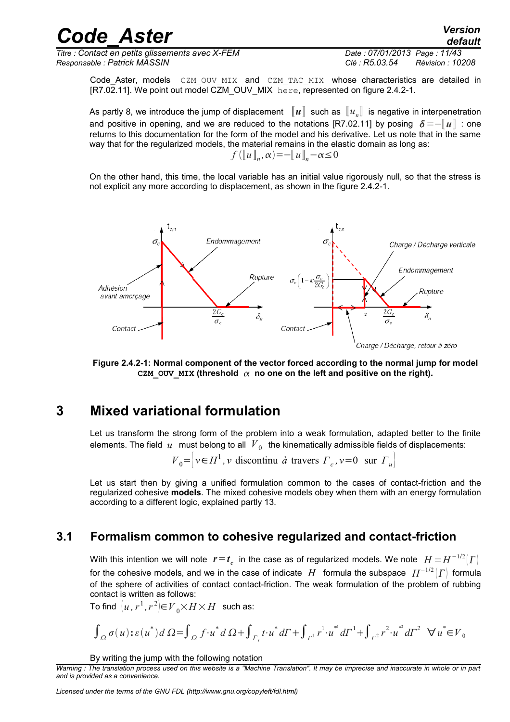*Titre : Contact en petits glissements avec X-FEM Date : 07/01/2013 Page : 11/43 Responsable : Patrick MASSIN Clé : R5.03.54 Révision : 10208*

*default*

Code\_Aster, models CZM OUV MIX and CZM TAC MIX whose characteristics are detailed in [R7.02.11]. We point out model CZM\_OUV\_MIX  $he^{\text{tree}}$ , represented on figure [2.4.2-1.](#page-10-1)

As partly [8,](#page-7-1) we introduce the jump of displacement  $~\llbracket u \rrbracket~$  such as  $~\llbracket u_n \rrbracket~$  is negative in interpenetration and positive in opening, and we are reduced to the notations [R7.02.11] by posing  $\delta = -\llbracket u \rrbracket$  : one returns to this documentation for the form of the model and his derivative. Let us note that in the same way that for the regularized models, the material remains in the elastic domain as long as:  $f([u]_n, \alpha) = -[u]_n - \alpha \leq 0$ 

On the other hand, this time, the local variable has an initial value rigorously null, so that the stress is not explicit any more according to displacement, as shown in the figure [2.4.2-1.](#page-10-1)



<span id="page-10-1"></span>**Figure 2.4.2-1: Normal component of the vector forced according to the normal jump for model** CZM OUV MIX (threshold  $\alpha$  no one on the left and positive on the right).

## **3 Mixed variational formulation**

<span id="page-10-0"></span>Let us transform the strong form of the problem into a weak formulation, adapted better to the finite elements. The field  $\;u\;$  must belong to all  $\;V_{\,0}\;$  the kinematically admissible fields of displacements:

 $V_0 = \left[ v \in H^1, v \text{ discontinu } \hat{a} \text{ travers } \Gamma_c, v = 0 \text{ sur } \Gamma_u \right]$ 

Let us start then by giving a unified formulation common to the cases of contact-friction and the regularized cohesive **models**. The mixed cohesive models obey when them with an energy formulation according to a different logic, explained partly [13.](#page-12-0)

## **3.1 Formalism common to cohesive regularized and contact-friction**

With this intention we will note  $\bm{r} \!=\! \bm{t}_c^{\phantom{c}}$  in the case as of regularized models. We note  $\phantom{0} H \!=\! H^{-1/2}(\Gamma)$ for the cohesive models, and we in the case of indicate  $|H|$  formula the subspace  $|H^{-1/2}|\varGamma|$  formula of the sphere of activities of contact contact-friction. The weak formulation of the problem of rubbing contact is written as follows:

To find  $\left|u,r^{1},r^{2}\right\rvert \in \, V_{0}\times H\times H\,$  such as:

$$
\int_{\Omega} \sigma(u) : \varepsilon(u^*) d\Omega = \int_{\Omega} f \cdot u^* d\Omega + \int_{\Gamma_t} t \cdot u^* d\Gamma + \int_{\Gamma^1} r^1 \cdot u^* d\Gamma + \int_{\Gamma^2} r^2 \cdot u^* d\Gamma^2 \quad \forall u^* \in V_0
$$

By writing the jump with the following notation

*Warning : The translation process used on this website is a "Machine Translation". It may be imprecise and inaccurate in whole or in part and is provided as a convenience.*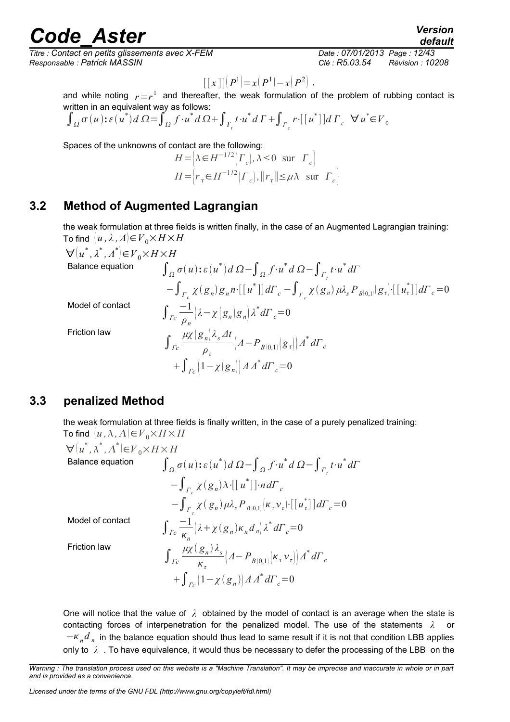*Titre : Contact en petits glissements avec X-FEM Date : 07/01/2013 Page : 12/43 Responsable : Patrick MASSIN Clé : R5.03.54 Révision : 10208*

$$
[[x]](P^{1})=x(P^{1})-x(P^{2}),
$$

and while noting  $r = r^1$  and thereafter, the weak formulation of the problem of rubbing contact is written in an equivalent way as follows:

$$
\int_{\Omega} \sigma(u) : \varepsilon(u^*) d\Omega = \int_{\Omega} f \cdot u^* d\Omega + \int_{\Gamma_t} t \cdot u^* d\Gamma + \int_{\Gamma_c} r \cdot [[u^*]] d\Gamma_c \quad \forall u^* \in V_0
$$

Spaces of the unknowns of contact are the following:

$$
H = \left[ \lambda \in H^{-1/2}(\Gamma_c), \lambda \le 0 \text{ sur } \Gamma_c \right]
$$
  

$$
H = \left[ r_\tau \in H^{-1/2}(\Gamma_c), ||r_\tau|| \le \mu \lambda \text{ sur } \Gamma_c \right]
$$

## **3.2 Method of Augmented Lagrangian**

the weak formulation at three fields is written finally, in the case of an Augmented Lagrangian training: To find  $\{u, \lambda, \Lambda\} \in V_0 \times H \times H$ 

 $\forall (u^*, \lambda^*, \Lambda^*) \in V_0 \times H \times H$ 

Balance equation

**Model of contact** 

Friction law

$$
\int_{\Omega} \sigma(u) : \varepsilon(u^*) d \Omega - \int_{\Omega} f \cdot u^* d \Omega - \int_{\Gamma_t} t \cdot u^* d\Gamma
$$
  
\n
$$
- \int_{\Gamma_c} \chi(g_n) g_n n \cdot [[u^*]] d\Gamma_c - \int_{\Gamma_c} \chi(g_n) \mu \lambda_s P_{B[0,1]}[g_\tau] \cdot [[u^*]] d\Gamma_c = 0
$$
  
\n
$$
\int_{\Gamma_c} \frac{-1}{\rho_n} \left( \lambda - \chi(g_n) g_n \right) \lambda^* d\Gamma_c = 0
$$
  
\n
$$
\int_{\Gamma_c} \frac{\mu \chi(g_n) \lambda_s dt}{\rho_\tau} \left( \Lambda - P_{B[0,1]}[g_\tau] \right) \Lambda^* d\Gamma_c
$$
  
\n
$$
+ \int_{\Gamma_c} \left( 1 - \chi(g_n) \right) \Lambda \Lambda^* d\Gamma_c = 0
$$

### **3.3 penalized Method**

<span id="page-11-0"></span>the weak formulation at three fields is finally written, in the case of a purely penalized training: To find  $[u, \lambda, \Lambda] \in V_0 \times H \times H$ 

$$
\forall (u^*, \lambda^*, \Lambda^*) \in V_0 \times H \times H
$$
  
\nBalance equation  
\n
$$
\int_{\Omega} \sigma(u) : \varepsilon(u^*) d \Omega - \int_{\Omega} f \cdot u^* d \Omega - \int_{\Gamma_t} t \cdot u^* d\Gamma
$$
\n
$$
- \int_{\Gamma_c} \chi(g_n) \lambda \cdot [[u^*]] \cdot n d\Gamma_c
$$
\n
$$
- \int_{\Gamma_c} \chi(g_n) \mu \lambda_s P_{B[0,1]}(\kappa_\tau \nu_\tau) \cdot [[u^*]] d\Gamma_c = 0
$$
  
\nModel of contact  
\n
$$
\int_{\Gamma_c} \frac{-1}{\kappa_n} (\lambda + \chi(g_n) \kappa_n d_n) \lambda^* d\Gamma_c = 0
$$
  
\nFriction law  
\n
$$
\int_{\Gamma_c} \frac{\mu \chi(g_n) \lambda_s}{\kappa_\tau} (A - P_{B[0,1]}(\kappa_\tau \nu_\tau)) \Lambda^* d\Gamma_c
$$
\n
$$
+ \int_{\Gamma_c} (1 - \chi(g_n)) \Lambda \Lambda^* d\Gamma_c = 0
$$

One will notice that the value of *λ* obtained by the model of contact is an average when the state is contacting forces of interpenetration for the penalized model. The use of the statements *λ* or −*<sup>n</sup> d n* in the balance equation should thus lead to same result if it is not that condition LBB applies only to *λ* . To have equivalence, it would thus be necessary to defer the processing of the LBB on the

*default*

*Warning : The translation process used on this website is a "Machine Translation". It may be imprecise and inaccurate in whole or in part and is provided as a convenience.*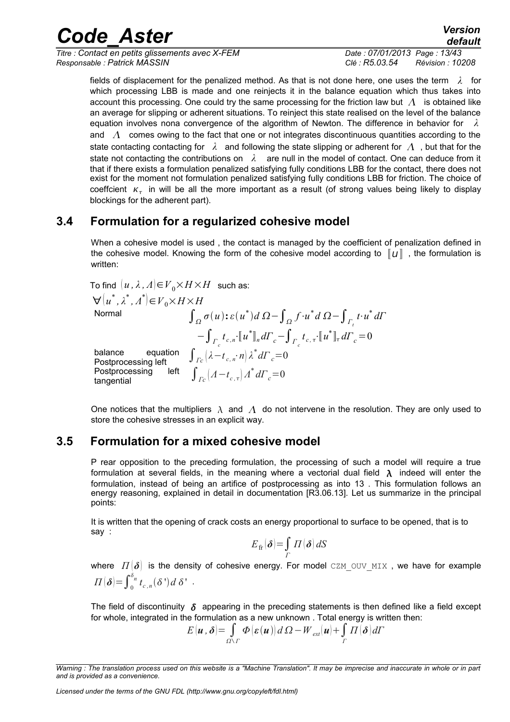*Titre : Contact en petits glissements avec X-FEM Date : 07/01/2013 Page : 13/43 Responsable : Patrick MASSIN Clé : R5.03.54 Révision : 10208*

fields of displacement for the penalized method. As that is not done here, one uses the term *λ* for which processing LBB is made and one reinjects it in the balance equation which thus takes into account this processing. One could try the same processing for the friction law but  $\Lambda$  is obtained like an average for slipping or adherent situations. To reinject this state realised on the level of the balance equation involves nona convergence of the algorithm of Newton. The difference in behavior for *λ* and  $\Lambda$  comes owing to the fact that one or not integrates discontinuous quantities according to the state contacting contacting for  $\lambda$  and following the state slipping or adherent for  $\Lambda$ , but that for the state not contacting the contributions on *λ* are null in the model of contact. One can deduce from it that if there exists a formulation penalized satisfying fully conditions LBB for the contact, there does not exist for the moment not formulation penalized satisfying fully conditions LBB for friction. The choice of coeffcient  $\kappa_{\tau}$  in will be all the more important as a result (of strong values being likely to display blockings for the adherent part).

## **3.4 Formulation for a regularized cohesive model**

<span id="page-12-1"></span>When a cohesive model is used , the contact is managed by the coefficient of penalization defined in the cohesive model. Knowing the form of the cohesive model according to  $\|u\|$ , the formulation is written:

To find  $(u, \lambda, \Lambda) \in V_0 \times H \times H$  such as:  $\forall$   $(u^*, \lambda^*, \Lambda^* \in V_0 \times H \times H$ Normal  $\int_{\Omega} \sigma(u)$ **:** ε(*u*<sup>\*</sup>)*d* Ω −  $\int_{\Omega} f \cdot u^* d$  Ω −  $\int_{\Gamma_t} t \cdot u^* d$ Γ  $-\int_{\Gamma_c} t_{c,n} \cdot [u^*]_n d\Gamma_c - \int_{\Gamma_c} t_{c,\tau} \cdot [u^*]_n d\Gamma_c = 0$ balance equation **Postprocessing left**<br> **Postprocessing** left  $\int_{c}^{b}$  *n*  $\int_{c}^{b}$  *d*  $\int_{c}^{b}$  *d*  $\int_{c}^{c}$  = 0 Postprocessing  $\int_{Ic} \left( A - t_{c, \tau} \right) A^* d\varGamma_c \!=\! 0$ <br>tangential

One notices that the multipliers  $\lambda$  and  $\Lambda$  do not intervene in the resolution. They are only used to store the cohesive stresses in an explicit way.

## **3.5 Formulation for a mixed cohesive model**

<span id="page-12-0"></span>P rear opposition to the preceding formulation, the processing of such a model will require a true formulation at several fields, in the meaning where a vectorial dual field  $\lambda$  indeed will enter the formulation, instead of being an artifice of postprocessing as into [13](#page-12-1) . This formulation follows an energy reasoning, explained in detail in documentation [R3.06.13]. Let us summarize in the principal points:

It is written that the opening of crack costs an energy proportional to surface to be opened, that is to say :

$$
E_{\text{fr}}(\boldsymbol{\delta}) = \int\limits_{\Gamma} \Pi(\boldsymbol{\delta}) \, dS
$$

where  $\Pi(\delta)$  is the density of cohesive energy. For model CZM OUV MIX, we have for example  $\Pi(\boldsymbol{\delta}) = \int_0^{\delta_n} t_{c,n}(\boldsymbol{\delta}^*) d \boldsymbol{\delta}^*$ .

The field of discontinuity  $\delta$  appearing in the preceding statements is then defined like a field except for whole, integrated in the formulation as a new unknown . Total energy is written then:

$$
E(\boldsymbol{u},\boldsymbol{\delta})=\int_{\Omega\setminus\Gamma}\boldsymbol{\Phi}(\boldsymbol{\varepsilon}(\boldsymbol{u}))\,d\,\Omega-W_{ext}(\boldsymbol{u})+\int_{\Gamma}\Pi(\boldsymbol{\delta})d\Gamma
$$

*Licensed under the terms of the GNU FDL (http://www.gnu.org/copyleft/fdl.html)*

*Warning : The translation process used on this website is a "Machine Translation". It may be imprecise and inaccurate in whole or in part and is provided as a convenience.*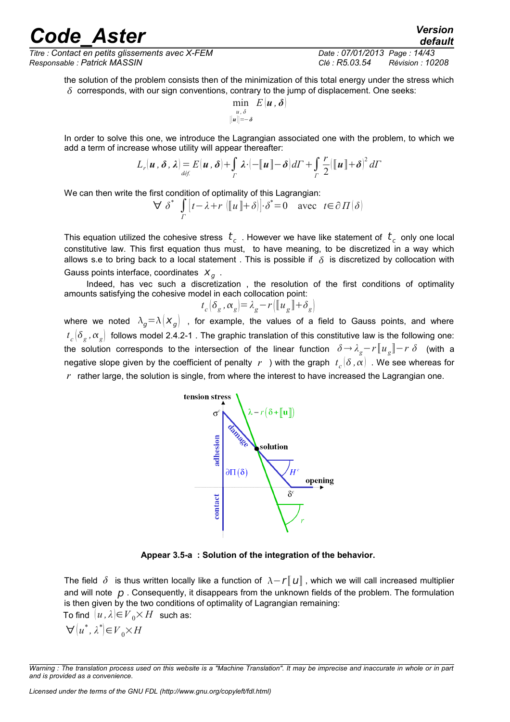## reade Aster *Version*

*Titre : Contact en petits glissements avec X-FEM Date : 07/01/2013 Page : 14/43 Responsable : Patrick MASSIN Clé : R5.03.54 Révision : 10208*

*default*

the solution of the problem consists then of the minimization of this total energy under the stress which  $\delta$  corresponds, with our sign conventions, contrary to the jump of displacement. One seeks:

$$
\min_{\substack{u,\,\delta\\ ||u||=-\delta}} E(u,\,\boldsymbol{\delta})
$$

In order to solve this one, we introduce the Lagrangian associated one with the problem, to which we add a term of increase whose utility will appear thereafter:

$$
L_r(\boldsymbol{u},\boldsymbol{\delta},\boldsymbol{\lambda}) = E(\boldsymbol{u},\boldsymbol{\delta}) + \int_T \boldsymbol{\lambda} \cdot \left(-\|\boldsymbol{u}\| - \boldsymbol{\delta}\right) dT + \int_T \frac{r}{2} \left(\|\boldsymbol{u}\| + \boldsymbol{\delta}\right)^2 dT
$$

We can then write the first condition of optimality of this Lagrangian:

$$
\forall \delta^* \int\limits_{\Gamma} [t - \lambda + r \left( [ \! [ u \! ] \! ] + \delta \right) ] \cdot \delta^* = 0 \quad \text{avec} \quad t \in \partial \Pi(\delta)
$$

This equation utilized the cohesive stress  $~t_{_C}^{}$  . However we have like statement of  $~t_{_C}^{}$  only one local constitutive law. This first equation thus must, to have meaning, to be discretized in a way which allows s.e to bring back to a local statement. This is possible if  $\delta$  is discretized by collocation with Gauss points interface, coordinates  $X_g$ .

Indeed, has vec such a discretization , the resolution of the first conditions of optimality amounts satisfying the cohesive model in each collocation point:

$$
t_c(\delta_g, \alpha_g) = \lambda_g - r(\llbracket u_g \rrbracket + \delta_g)
$$

where we noted  $\lambda_g = \lambda \left| X_g \right|$ , for example, the values of a field to Gauss points, and where  $t_c[\delta_{_S},\alpha_{_S}]$  follows model [2.4.2-1](#page-10-1) . The graphic translation of this constitutive law is the following one: the solution corresponds to the intersection of the linear function  $\delta \to \lambda_g-r[\![u_g]\!]-r\;\delta$  (with a negative slope given by the coefficient of penalty  $\,r\,$  ) with the graph  $\,t_c^{}[\delta\,,\alpha]\,$  . We see whereas for  $r$  rather large, the solution is single, from where the interest to have increased the Lagrangian one.



**Appear 3.5-a : Solution of the integration of the behavior.**

The field  $\delta$  is thus written locally like a function of  $\lambda - r \llbracket u \rrbracket$ , which we will call increased multiplier and will note  $p$ . Consequently, it disappears from the unknown fields of the problem. The formulation is then given by the two conditions of optimality of Lagrangian remaining:

To find  $(u, \lambda) \in V_0 \times H$  such as:  $\forall (u^*, \lambda^*) \in V_0 \times H$ 

*Warning : The translation process used on this website is a "Machine Translation". It may be imprecise and inaccurate in whole or in part and is provided as a convenience.*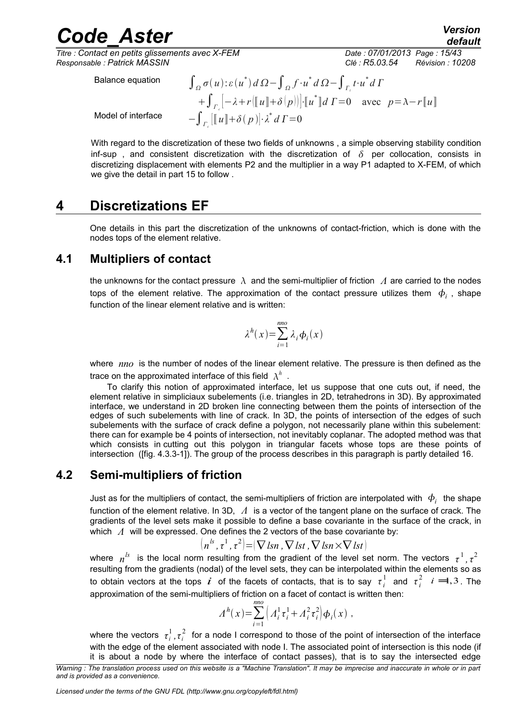*Titre : Contact en petits glissements avec X-FEM Date : 07/01/2013 Page : 15/43 Responsable : Patrick MASSIN Clé : R5.03.54 Révision : 10208*

*default*

Balance equation

Model of interface <sup>−</sup>∫*<sup>Γ</sup><sup>c</sup>*

*σ*(*u*):  $\varepsilon$  (*u*<sup>\*</sup>)  $d\Omega$  -  $\int_{\Omega} f \cdot u^* d\Omega$  -  $\int_{\Gamma_t} t \cdot u^* d\Gamma$  $+ \int_{r_c} \left[ -\lambda + r \left( \left[ \left[ u \right] \right] + \delta \left( p \right) \right) \right] \cdot \left[ \left[ u^* \right] \right] d \Gamma = 0$  avec  $p = \lambda - r \left[ \left[ u \right] \right]$  $[[u] + \delta(p)] \cdot \lambda^* dI = 0$ 

With regard to the discretization of these two fields of unknowns , a simple observing stability condition inf-sup, and consistent discretization with the discretization of  $\delta$  per collocation, consists in discretizing displacement with elements P2 and the multiplier in a way P1 adapted to X-FEM, of which we give the detail in part [15](#page-14-1) to follow .

## **4 Discretizations EF**

<span id="page-14-0"></span>One details in this part the discretization of the unknowns of contact-friction, which is done with the nodes tops of the element relative.

## **4.1 Multipliers of contact**

<span id="page-14-1"></span>the unknowns for the contact pressure  $\lambda$  and the semi-multiplier of friction  $\Lambda$  are carried to the nodes tops of the element relative. The approximation of the contact pressure utilizes them  $\ket{\phi_i}$  , shape function of the linear element relative and is written:

$$
\lambda^h(x) = \sum_{i=1}^{mno} \lambda_i \phi_i(x)
$$

where *nno* is the number of nodes of the linear element relative. The pressure is then defined as the trace on the approximated interface of this field  $\ \lambda^h$  .

To clarify this notion of approximated interface, let us suppose that one cuts out, if need, the element relative in simpliciaux subelements (i.e. triangles in 2D, tetrahedrons in 3D). By approximated interface, we understand in 2D broken line connecting between them the points of intersection of the edges of such subelements with line of crack. In 3D, the points of intersection of the edges of such subelements with the surface of crack define a polygon, not necessarily plane within this subelement: there can for example be 4 points of intersection, not inevitably coplanar. The adopted method was that which consists in cutting out this polygon in triangular facets whose tops are these points of intersection ([fig. [4.3.3-1\]](#page-19-0)). The group of the process describes in this paragraph is partly detailed [16.](#page-15-0)

## **4.2 Semi-multipliers of friction**

Just as for the multipliers of contact, the semi-multipliers of friction are interpolated with  $\ket{\phi_i}$  the shape function of the element relative. In 3D, *Λ* is a vector of the tangent plane on the surface of crack. The gradients of the level sets make it possible to define a base covariante in the surface of the crack, in which *Λ* will be expressed. One defines the 2 vectors of the base covariante by:

$$
(n^{ls}, \tau^1, \tau^2) = (\nabla \, \text{lsn }, \nabla \, \text{lst }, \nabla \, \text{lsn} \times \nabla \, \text{lst})
$$

where  $n^{ls}$  is the local norm resulting from the gradient of the level set norm. The vectors  $\tau^1$ ,  $\tau^2$ resulting from the gradients (nodal) of the level sets, they can be interpolated within the elements so as to obtain vectors at the tops  $\vec{i}$  of the facets of contacts, that is to say  $\tau_i^1$  and  $\tau_i^2$   $i = 1,3$ . The approximation of the semi-multipliers of friction on a facet of contact is written then:

$$
A^{h}(x) = \sum_{i=1}^{nno} \left( A_{i}^{1} \tau_{i}^{1} + A_{i}^{2} \tau_{i}^{2} \right) \phi_{i}(x) ,
$$

where the vectors  $\tau^1_i$ ,  $\tau^2_i$  for a node I correspond to those of the point of intersection of the interface with the edge of the element associated with node I. The associated point of intersection is this node (if it is about a node by where the interface of contact passes), that is to say the intersected edge

*Warning : The translation process used on this website is a "Machine Translation". It may be imprecise and inaccurate in whole or in part and is provided as a convenience.*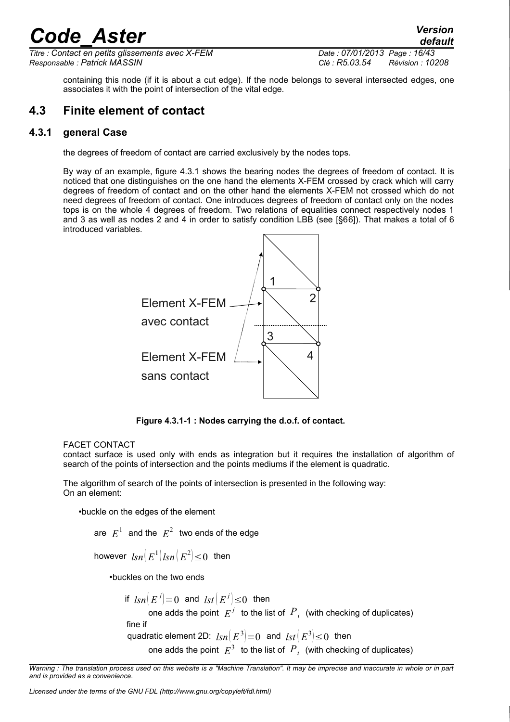*Titre : Contact en petits glissements avec X-FEM Date : 07/01/2013 Page : 16/43 Responsable : Patrick MASSIN Clé : R5.03.54 Révision : 10208*

*default*

<span id="page-15-0"></span>containing this node (if it is about a cut edge). If the node belongs to several intersected edges, one associates it with the point of intersection of the vital edge.

### **4.3 Finite element of contact**

### **4.3.1 general Case**

the degrees of freedom of contact are carried exclusively by the nodes tops.

By way of an example, figure [4.3.1](#page-15-1) shows the bearing nodes the degrees of freedom of contact. It is noticed that one distinguishes on the one hand the elements X-FEM crossed by crack which will carry degrees of freedom of contact and on the other hand the elements X-FEM not crossed which do not need degrees of freedom of contact. One introduces degrees of freedom of contact only on the nodes tops is on the whole 4 degrees of freedom. Two relations of equalities connect respectively nodes 1 and 3 as well as nodes 2 and 4 in order to satisfy condition LBB (see [§6[6\]](#page-34-0)). That makes a total of 6 introduced variables.



<span id="page-15-1"></span>**Figure 4.3.1-1 : Nodes carrying the d.o.f. of contact.** 

#### FACET CONTACT

contact surface is used only with ends as integration but it requires the installation of algorithm of search of the points of intersection and the points mediums if the element is quadratic.

The algorithm of search of the points of intersection is presented in the following way: On an element:

•buckle on the edges of the element

are  $|E^1|$  and the  $|E^2|$  two ends of the edge

however  $\textit{lsn}\!\left( E^{1} \right) \!\textit{lsn}\!\left( E^{2} \right) \!\leq\! 0$  then

•buckles on the two ends

if  $\textit{lsn}(E^j)$ =0 and  $\textit{lst}(E^j)$ ≤0 then

one adds the point  $|E^j|$  to the list of  $|P^j|$  (with checking of duplicates)

fine if

quadratic element 2D:  $\text{Im}(E^3) = 0$  and  $\text{Im}(E^3) \leq 0$  then

one adds the point  $|E^3|$  to the list of  $|P^j|$  (with checking of duplicates)

*Warning : The translation process used on this website is a "Machine Translation". It may be imprecise and inaccurate in whole or in part and is provided as a convenience.*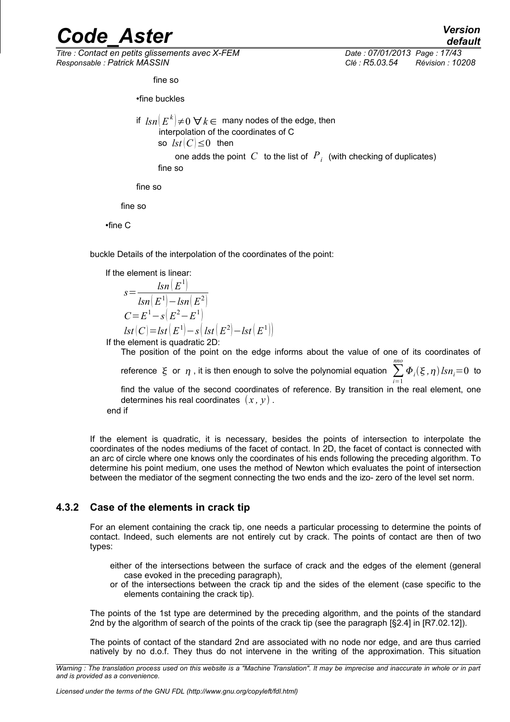*Titre : Contact en petits glissements avec X-FEM Date : 07/01/2013 Page : 17/43 Responsable : Patrick MASSIN Clé : R5.03.54 Révision : 10208*

fine so

•fine buckles

if  $\; \textit{lsn} \big( E^{k} \big) \! \neq \! 0 \; \forall \, k \! \in \,$  many nodes of the edge, then interpolation of the coordinates of C so  $\text{lst}(C) \leq 0$  then one adds the point  $|C|$  to the list of  $|P^+_i|$  (with checking of duplicates) fine so

fine so

fine so

•fine C

buckle Details of the interpolation of the coordinates of the point:

If the element is linear:  
\n
$$
s = \frac{lsn(E^{1})}{lsn(E^{1}) - lsn(E^{2})}
$$
\n
$$
C = E^{1} - s(E^{2} - E^{1})
$$
\n
$$
lst(C) = lst(E^{1}) - s(lst(E^{2}) - lst(E^{1})
$$

If the element is quadratic 2D:

The position of the point on the edge informs about the value of one of its coordinates of reference  $\xi$  or  $\eta$ , it is then enough to solve the polynomial equation *i*=1 *nno*  $\Phi_i(\xi, \eta)$  *lsn*<sub>*i*</sub>=0 to find the value of the second coordinates of reference. By transition in the real element, one determines his real coordinates  $(x, y)$ . end if

11.

If the element is quadratic, it is necessary, besides the points of intersection to interpolate the coordinates of the nodes mediums of the facet of contact. In 2D, the facet of contact is connected with an arc of circle where one knows only the coordinates of his ends following the preceding algorithm. To determine his point medium, one uses the method of Newton which evaluates the point of intersection between the mediator of the segment connecting the two ends and the izo- zero of the level set norm.

### **4.3.2 Case of the elements in crack tip**

<span id="page-16-0"></span>For an element containing the crack tip, one needs a particular processing to determine the points of contact. Indeed, such elements are not entirely cut by crack. The points of contact are then of two types:

- either of the intersections between the surface of crack and the edges of the element (general case evoked in the preceding paragraph),
- or of the intersections between the crack tip and the sides of the element (case specific to the elements containing the crack tip).

The points of the 1st type are determined by the preceding algorithm, and the points of the standard 2nd by the algorithm of search of the points of the crack tip (see the paragraph [§2.4] in [R7.02.12]).

The points of contact of the standard 2nd are associated with no node nor edge, and are thus carried natively by no d.o.f. They thus do not intervene in the writing of the approximation. This situation

*Warning : The translation process used on this website is a "Machine Translation". It may be imprecise and inaccurate in whole or in part and is provided as a convenience.*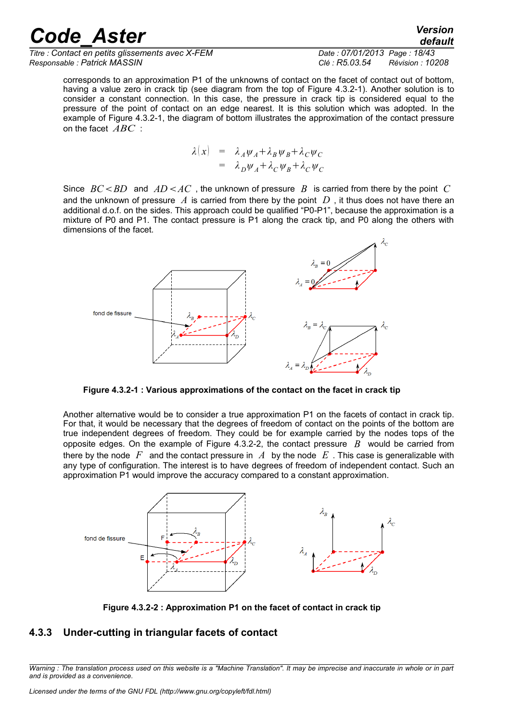*Titre : Contact en petits glissements avec X-FEM Date : 07/01/2013 Page : 18/43 Responsable : Patrick MASSIN Clé : R5.03.54 Révision : 10208*

*default*

corresponds to an approximation P1 of the unknowns of contact on the facet of contact out of bottom, having a value zero in crack tip (see diagram from the top of [Figure 4.3.2-1\)](#page-17-1). Another solution is to consider a constant connection. In this case, the pressure in crack tip is considered equal to the pressure of the point of contact on an edge nearest. It is this solution which was adopted. In the example of [Figure 4.3.2-1,](#page-17-1) the diagram of bottom illustrates the approximation of the contact pressure on the facet *ABC* :

$$
\lambda(x) = \lambda_A \psi_A + \lambda_B \psi_B + \lambda_C \psi_C
$$
  
=  $\lambda_D \psi_A + \lambda_C \psi_B + \lambda_C \psi_C$ 

Since  $BC < BD$  and  $AD < AC$ , the unknown of pressure B is carried from there by the point C and the unknown of pressure *A* is carried from there by the point *D* , it thus does not have there an additional d.o.f. on the sides. This approach could be qualified "P0-P1", because the approximation is a mixture of P0 and P1. The contact pressure is P1 along the crack tip, and P0 along the others with dimensions of the facet.



<span id="page-17-1"></span>**Figure 4.3.2-1 : Various approximations of the contact on the facet in crack tip**

Another alternative would be to consider a true approximation P1 on the facets of contact in crack tip. For that, it would be necessary that the degrees of freedom of contact on the points of the bottom are true independent degrees of freedom. They could be for example carried by the nodes tops of the opposite edges. On the example of [Figure 4.3.2-2,](#page-17-0) the contact pressure *B* would be carried from there by the node  $F$  and the contact pressure in  $A$  by the node  $E$ . This case is generalizable with any type of configuration. The interest is to have degrees of freedom of independent contact. Such an approximation P1 would improve the accuracy compared to a constant approximation.



<span id="page-17-0"></span>**Figure 4.3.2-2 : Approximation P1 on the facet of contact in crack tip**

### **4.3.3 Under-cutting in triangular facets of contact**

*Warning : The translation process used on this website is a "Machine Translation". It may be imprecise and inaccurate in whole or in part and is provided as a convenience.*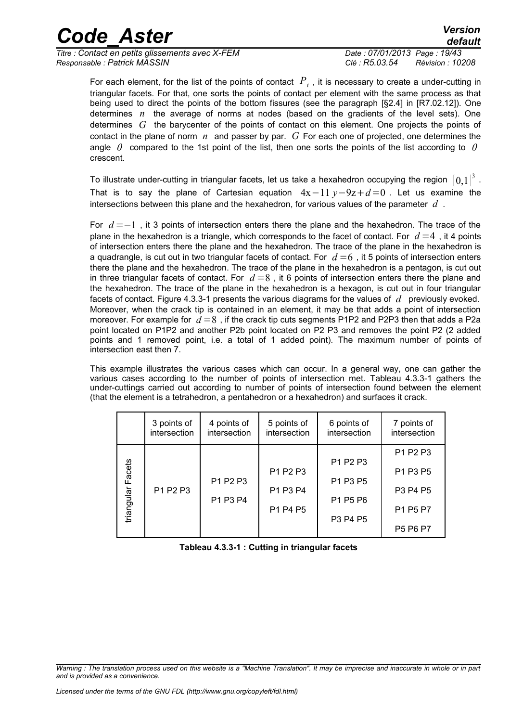| <b>Code Aster</b> | Version |
|-------------------|---------|
|                   | default |

*Titre : Contact en petits glissements avec X-FEM Date : 07/01/2013 Page : 19/43 Responsable : Patrick MASSIN Clé : R5.03.54 Révision : 10208*

For each element, for the list of the points of contact  $\overline{P}_i$  , it is necessary to create a under-cutting in triangular facets. For that, one sorts the points of contact per element with the same process as that being used to direct the points of the bottom fissures (see the paragraph [§2.4] in [R7.02.12]). One determines *n* the average of norms at nodes (based on the gradients of the level sets). One determines *G* the barycenter of the points of contact on this element. One projects the points of contact in the plane of norm *n* and passer by par. *G* For each one of projected, one determines the angle *θ* compared to the 1st point of the list, then one sorts the points of the list according to *θ* crescent.

To illustrate under-cutting in triangular facets, let us take a hexahedron occupying the region  $\,[\,0,1\,]^3$  . That is to say the plane of Cartesian equation  $4x-11y-9z+d=0$ . Let us examine the intersections between this plane and the hexahedron, for various values of the parameter *d* .

For *d* =−1 , it 3 points of intersection enters there the plane and the hexahedron. The trace of the plane in the hexahedron is a triangle, which corresponds to the facet of contact. For  $d=4$ , it 4 points of intersection enters there the plane and the hexahedron. The trace of the plane in the hexahedron is a quadrangle, is cut out in two triangular facets of contact. For  $d=6$ , it 5 points of intersection enters there the plane and the hexahedron. The trace of the plane in the hexahedron is a pentagon, is cut out in three triangular facets of contact. For  $d=8$ , it 6 points of intersection enters there the plane and the hexahedron. The trace of the plane in the hexahedron is a hexagon, is cut out in four triangular facets of contact. [Figure 4.3.3-1](#page-19-1) presents the various diagrams for the values of *d* previously evoked. Moreover, when the crack tip is contained in an element, it may be that adds a point of intersection moreover. For example for  $d = 8$  , if the crack tip cuts segments P1P2 and P2P3 then that adds a P2a point located on P1P2 and another P2b point located on P2 P3 and removes the point P2 (2 added points and 1 removed point, i.e. a total of 1 added point). The maximum number of points of intersection east then 7.

This example illustrates the various cases which can occur. In a general way, one can gather the various cases according to the number of points of intersection met. [Tableau 4.3.3-1](#page-18-0) gathers the under-cuttings carried out according to number of points of intersection found between the element (that the element is a tetrahedron, a pentahedron or a hexahedron) and surfaces it crack.

|            | 3 points of<br>intersection | 4 points of<br>intersection | 5 points of<br>intersection | 6 points of<br>intersection                  | 7 points of<br>intersection                  |
|------------|-----------------------------|-----------------------------|-----------------------------|----------------------------------------------|----------------------------------------------|
|            |                             |                             |                             | P <sub>1</sub> P <sub>2</sub> P <sub>3</sub> | P <sub>1</sub> P <sub>2</sub> P <sub>3</sub> |
| Facets     |                             |                             | P1 P2 P3                    |                                              | P <sub>1</sub> P <sub>3</sub> P <sub>5</sub> |
|            | P1 P2 P3                    | P1 P2 P3                    | P1 P3 P4                    | P1 P3 P5                                     | P3 P4 P5                                     |
| triangular |                             | P1 P3 P4                    | P1 P4 P5                    | P1 P5 P6                                     | P1 P5 P7                                     |
|            |                             |                             |                             | P3 P4 P5                                     | P5 P6 P7                                     |

<span id="page-18-0"></span>**Tableau 4.3.3-1 : Cutting in triangular facets**

*Warning : The translation process used on this website is a "Machine Translation". It may be imprecise and inaccurate in whole or in part and is provided as a convenience.*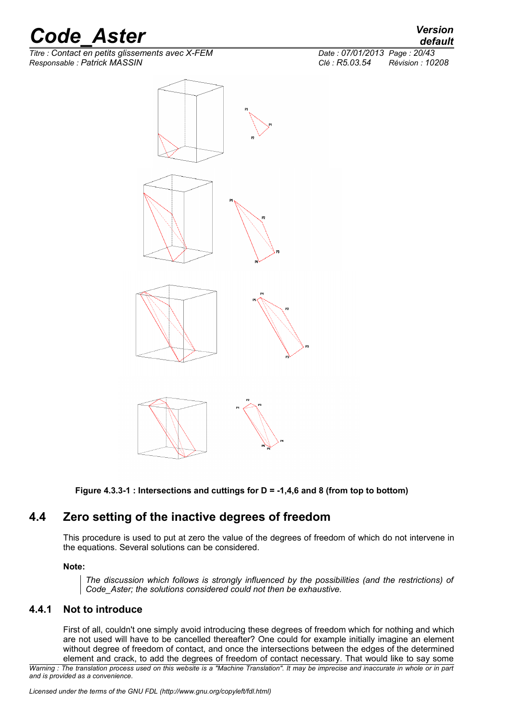$\overline{T}$ itre : Contact en petits glissements avec X-FEM *Responsable : Patrick MASSIN Clé : R5.03.54 Révision : 10208*





<span id="page-19-1"></span><span id="page-19-0"></span>**Figure 4.3.3-1 : Intersections and cuttings for D = -1,4,6 and 8 (from top to bottom)**

## **4.4 Zero setting of the inactive degrees of freedom**

<span id="page-19-2"></span>This procedure is used to put at zero the value of the degrees of freedom of which do not intervene in the equations. Several solutions can be considered.

#### **Note:**

*The discussion which follows is strongly influenced by the possibilities (and the restrictions) of Code\_Aster; the solutions considered could not then be exhaustive.*

### **4.4.1 Not to introduce**

First of all, couldn't one simply avoid introducing these degrees of freedom which for nothing and which are not used will have to be cancelled thereafter? One could for example initially imagine an element without degree of freedom of contact, and once the intersections between the edges of the determined element and crack, to add the degrees of freedom of contact necessary. That would like to say some

*Warning : The translation process used on this website is a "Machine Translation". It may be imprecise and inaccurate in whole or in part and is provided as a convenience.*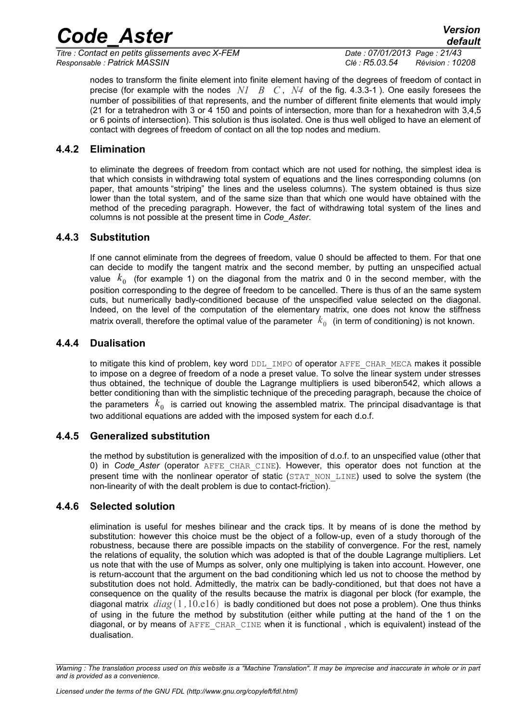*Titre : Contact en petits glissements avec X-FEM Date : 07/01/2013 Page : 21/43 Responsable : Patrick MASSIN Clé : R5.03.54 Révision : 10208*

*default*

nodes to transform the finite element into finite element having of the degrees of freedom of contact in precise (for example with the nodes *N1 B C* , *N4* of the fig. [4.3.3-1](#page-19-0) ). One easily foresees the number of possibilities of that represents, and the number of different finite elements that would imply (21 for a tetrahedron with 3 or 4 150 and points of intersection, more than for a hexahedron with 3,4,5 or 6 points of intersection). This solution is thus isolated. One is thus well obliged to have an element of contact with degrees of freedom of contact on all the top nodes and medium.

### **4.4.2 Elimination**

to eliminate the degrees of freedom from contact which are not used for nothing, the simplest idea is that which consists in withdrawing total system of equations and the lines corresponding columns (on paper, that amounts "striping" the lines and the useless columns). The system obtained is thus size lower than the total system, and of the same size than that which one would have obtained with the method of the preceding paragraph. However, the fact of withdrawing total system of the lines and columns is not possible at the present time in *Code\_Aster*.

### **4.4.3 Substitution**

If one cannot eliminate from the degrees of freedom, value 0 should be affected to them. For that one can decide to modify the tangent matrix and the second member, by putting an unspecified actual value  $k_{0}$  (for example 1) on the diagonal from the matrix and 0 in the second member, with the position corresponding to the degree of freedom to be cancelled. There is thus of an the same system cuts, but numerically badly-conditioned because of the unspecified value selected on the diagonal. Indeed, on the level of the computation of the elementary matrix, one does not know the stiffness matrix overall, therefore the optimal value of the parameter  $\;k_0\;$  (in term of conditioning) is not known.

### **4.4.4 Dualisation**

to mitigate this kind of problem, key word DDL IMPO of operator AFFE CHAR MECA makes it possible to impose on a degree of freedom of a node a preset value. To solve the linear system under stresses thus obtained, the technique of double the Lagrange multipliers is used biberon[542,](#page-41-9) which allows a better conditioning than with the simplistic technique of the preceding paragraph, because the choice of the parameters  $\;k_0^{}\;$  is carried out knowing the assembled matrix. The principal disadvantage is that two additional equations are added with the imposed system for each d.o.f.

### **4.4.5 Generalized substitution**

the method by substitution is generalized with the imposition of d.o.f. to an unspecified value (other that 0) in *Code\_Aster* (operator AFFE\_CHAR\_CINE). However, this operator does not function at the present time with the nonlinear operator of static (STAT\_NON\_LINE) used to solve the system (the non-linearity of with the dealt problem is due to contact-friction).

### **4.4.6 Selected solution**

elimination is useful for meshes bilinear and the crack tips. It by means of is done the method by substitution: however this choice must be the object of a follow-up, even of a study thorough of the robustness, because there are possible impacts on the stability of convergence. For the rest, namely the relations of equality, the solution which was adopted is that of the double Lagrange multipliers. Let us note that with the use of Mumps as solver, only one multiplying is taken into account. However, one is return-account that the argument on the bad conditioning which led us not to choose the method by substitution does not hold. Admittedly, the matrix can be badly-conditioned, but that does not have a consequence on the quality of the results because the matrix is diagonal per block (for example, the diagonal matrix  $diag(1, 10.16)$  is badly conditioned but does not pose a problem). One thus thinks of using in the future the method by substitution (either while putting at the hand of the 1 on the diagonal, or by means of AFFE\_CHAR\_CINE when it is functional , which is equivalent) instead of the dualisation.

*Warning : The translation process used on this website is a "Machine Translation". It may be imprecise and inaccurate in whole or in part and is provided as a convenience.*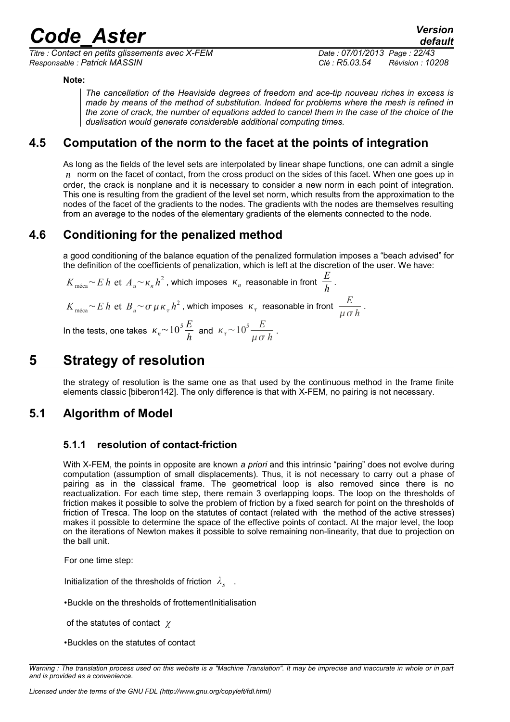*Titre : Contact en petits glissements avec X-FEM Date : 07/01/2013 Page : 22/43 Responsable : Patrick MASSIN Clé : R5.03.54 Révision : 10208*

#### **Note:**

*The cancellation of the Heaviside degrees of freedom and ace-tip nouveau riches in excess is made by means of the method of substitution. Indeed for problems where the mesh is refined in the zone of crack, the number of equations added to cancel them in the case of the choice of the dualisation would generate considerable additional computing times.*

## **4.5 Computation of the norm to the facet at the points of integration**

<span id="page-21-1"></span>As long as the fields of the level sets are interpolated by linear shape functions, one can admit a single  *norm on the facet of contact, from the cross product on the sides of this facet. When one goes up in* order, the crack is nonplane and it is necessary to consider a new norm in each point of integration. This one is resulting from the gradient of the level set norm, which results from the approximation to the nodes of the facet of the gradients to the nodes. The gradients with the nodes are themselves resulting from an average to the nodes of the elementary gradients of the elements connected to the node.

## **4.6 Conditioning for the penalized method**

a good conditioning of the balance equation of the penalized formulation imposes a "beach advised" for the definition of the coefficients of penalization, which is left at the discretion of the user. We have:

 $K_{\text{m\'eca}}$ ~*E h* et  $A_u$ ~ $\kappa_n h^2$  , which imposes  $\kappa_n$  reasonable in front  $\frac{E}{h}$  $\frac{2}{h}$ .  $K_{\rm{m\acute{e}ea}}{\sim}E$   $h$  et  $\ B_u{\sim}\sigma\,\mu\,\kappa_\tau\,h^2$  , which imposes  $\ \kappa_\tau\,$  reasonable in front  $\frac{E}{\mu\,\sigma^2}$  $\frac{2}{\mu \sigma h}$ .

In the tests, one takes  $\kappa_n$  ~  $10^5 \frac{E}{h}$  and  $\kappa_{\tau}$  ~  $10^5 \frac{E}{\mu \sigma h}$ .

## **5 Strategy of resolution**

<span id="page-21-0"></span>the strategy of resolution is the same one as that used by the continuous method in the frame finite elements classic [biberon[142\]](#page-41-0). The only difference is that with X-FEM, no pairing is not necessary.

## **5.1 Algorithm of Model**

### **5.1.1 resolution of contact-friction**

With X-FEM, the points in opposite are known *a priori* and this intrinsic "pairing" does not evolve during computation (assumption of small displacements). Thus, it is not necessary to carry out a phase of pairing as in the classical frame. The geometrical loop is also removed since there is no reactualization. For each time step, there remain 3 overlapping loops. The loop on the thresholds of friction makes it possible to solve the problem of friction by a fixed search for point on the thresholds of friction of Tresca. The loop on the statutes of contact (related with the method of the active stresses) makes it possible to determine the space of the effective points of contact. At the major level, the loop on the iterations of Newton makes it possible to solve remaining non-linearity, that due to projection on the ball unit.

For one time step:

Initialization of the thresholds of friction  $\lambda_s$ .

•Buckle on the thresholds of frottementInitialisation

of the statutes of contact *χ*

•Buckles on the statutes of contact

*Warning : The translation process used on this website is a "Machine Translation". It may be imprecise and inaccurate in whole or in part and is provided as a convenience.*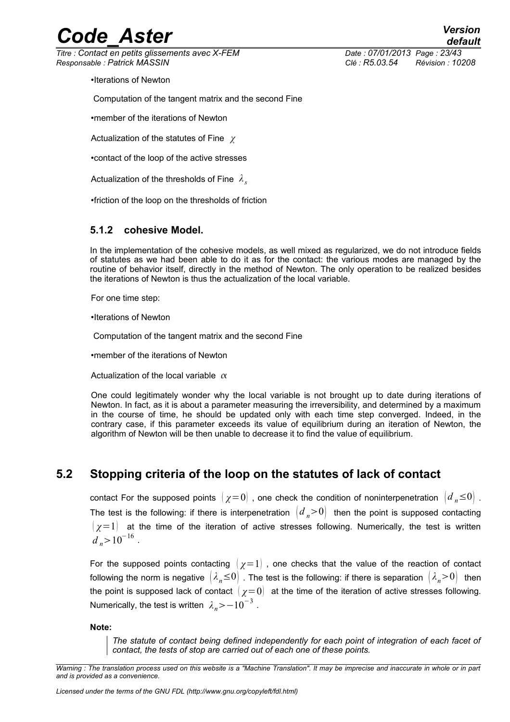*Titre : Contact en petits glissements avec X-FEM Date : 07/01/2013 Page : 23/43 Responsable : Patrick MASSIN Clé : R5.03.54 Révision : 10208*

*default*

•Iterations of Newton

Computation of the tangent matrix and the second Fine

•member of the iterations of Newton

Actualization of the statutes of Fine *χ*

•contact of the loop of the active stresses

Actualization of the thresholds of Fine *λ<sup>s</sup>*

•friction of the loop on the thresholds of friction

#### **5.1.2 cohesive Model.**

In the implementation of the cohesive models, as well mixed as regularized, we do not introduce fields of statutes as we had been able to do it as for the contact: the various modes are managed by the routine of behavior itself, directly in the method of Newton. The only operation to be realized besides the iterations of Newton is thus the actualization of the local variable.

For one time step:

•Iterations of Newton

Computation of the tangent matrix and the second Fine

•member of the iterations of Newton

Actualization of the local variable  $\alpha$ 

One could legitimately wonder why the local variable is not brought up to date during iterations of Newton. In fact, as it is about a parameter measuring the irreversibility, and determined by a maximum in the course of time, he should be updated only with each time step converged. Indeed, in the contrary case, if this parameter exceeds its value of equilibrium during an iteration of Newton, the algorithm of Newton will be then unable to decrease it to find the value of equilibrium.

### **5.2 Stopping criteria of the loop on the statutes of lack of contact**

contact For the supposed points  $\chi=0$ , one check the condition of noninterpenetration  $\chi^2 \approx 0$ . The test is the following: if there is interpenetration  $\left(d_n>0\right)$  then the point is supposed contacting  $\left(\chi=1\right)$  at the time of the iteration of active stresses following. Numerically, the test is written  $d_n$ >10<sup>-16</sup>.

For the supposed points contacting  $\left(\chi=1\right)$ , one checks that the value of the reaction of contact following the norm is negative  $(\lambda_n \leq 0)$ . The test is the following: if there is separation  $(\lambda_n > 0)$  then the point is supposed lack of contact  $\chi=0$  at the time of the iteration of active stresses following. Numerically, the test is written  $\,\,\lambda_{\mathit{n}}\!\!>\!-10^{-3}$  .

**Note:**

*The statute of contact being defined independently for each point of integration of each facet of contact, the tests of stop are carried out of each one of these points.*

*Warning : The translation process used on this website is a "Machine Translation". It may be imprecise and inaccurate in whole or in part and is provided as a convenience.*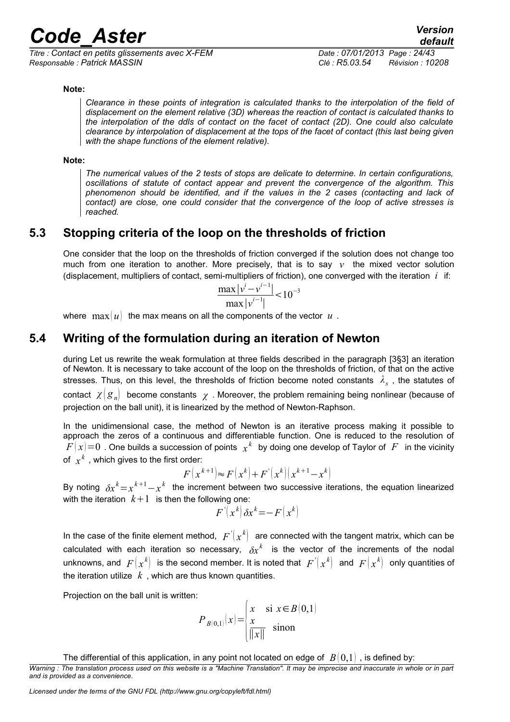*Titre : Contact en petits glissements avec X-FEM Date : 07/01/2013 Page : 24/43 Responsable : Patrick MASSIN Clé : R5.03.54 Révision : 10208*

#### **Note:**

*Clearance in these points of integration is calculated thanks to the interpolation of the field of displacement on the element relative (3D) whereas the reaction of contact is calculated thanks to the interpolation of the ddls of contact on the facet of contact (2D). One could also calculate clearance by interpolation of displacement at the tops of the facet of contact (this last being given with the shape functions of the element relative).*

#### **Note:**

*The numerical values of the 2 tests of stops are delicate to determine. In certain configurations, oscillations of statute of contact appear and prevent the convergence of the algorithm. This phenomenon should be identified, and if the values in the 2 cases (contacting and lack of contact) are close, one could consider that the convergence of the loop of active stresses is reached.*

### **5.3 Stopping criteria of the loop on the thresholds of friction**

One consider that the loop on the thresholds of friction converged if the solution does not change too much from one iteration to another. More precisely, that is to say  $v$  the mixed vector solution (displacement, multipliers of contact, semi-multipliers of friction), one converged with the iteration *i* if:

$$
\frac{\max |v^{i}-v^{i-1}|}{\max |v^{i-1}|} < 10^{-3}
$$

<span id="page-23-0"></span>where  $\max(u)$  the max means on all the components of the vector  $u$ .

## **5.4 Writing of the formulation during an iteration of Newton**

during Let us rewrite the weak formulation at three fields described in the paragraph [\[3§](#page-10-0)3] an iteration of Newton. It is necessary to take account of the loop on the thresholds of friction, of that on the active stresses. Thus, on this level, the thresholds of friction become noted constants *λ<sup>s</sup>* , the statutes of contact  $\chi(g_n)$  become constants  $\chi$ . Moreover, the problem remaining being nonlinear (because of projection on the ball unit), it is linearized by the method of Newton-Raphson.

In the unidimensional case, the method of Newton is an iterative process making it possible to approach the zeros of a continuous and differentiable function. One is reduced to the resolution of  $F(x)=0\,$  . One builds a succession of points  $\,\,x^k\,\,$  by doing one develop of Taylor of  $\,\,F\,\,$  in the vicinity of  $x^k$  , which gives to the first order:

$$
F(x^{k+1}) \approx F(x^k) + F'(x^k) (x^{k+1} - x^k)
$$

By noting  $\delta x^k = x^{k+1} - x^k$  the increment between two successive iterations, the equation linearized with the iteration  $k+1$  is then the following one:

$$
F\left(x^{k}\right)\delta x^{k} = - F\left(x^{k}\right)
$$

In the case of the finite element method,  $|F^{'}(x^k)|$  are connected with the tangent matrix, which can be calculated with each iteration so necessary,  $\delta x^k$  is the vector of the increments of the nodal unknowns, and  $\ F\left(x^k\right)\;$  is the second member. It is noted that  $\ F'\left(x^k\right)\;$  and  $\ F\left(x^k\right)\;$  only quantities of the iteration utilize  $k$ , which are thus known quantities.

Projection on the ball unit is written:

$$
P_{B(0,1)}(x) = \begin{cases} x & \text{si } x \in B(0,1) \\ \frac{x}{\|x\|} & \text{sinon} \end{cases}
$$

The differential of this application, in any point not located on edge of  $B(0,1)$ , is defined by:

*Warning : The translation process used on this website is a "Machine Translation". It may be imprecise and inaccurate in whole or in part and is provided as a convenience.*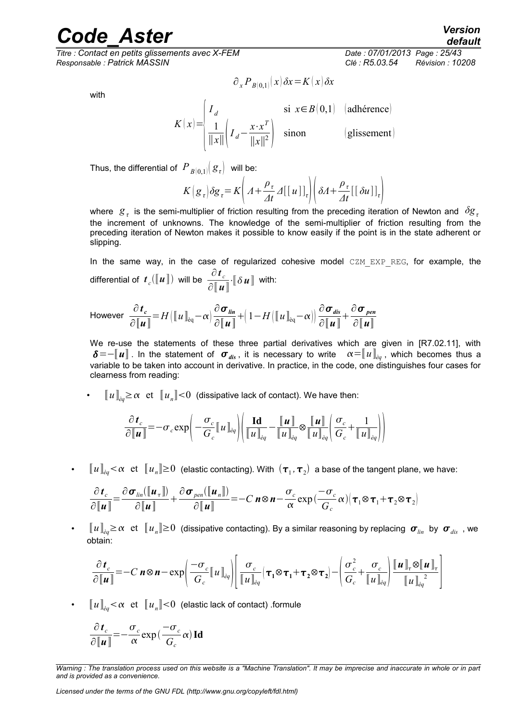*Titre : Contact en petits glissements avec X-FEM Date : 07/01/2013 Page : 25/43 Responsable : Patrick MASSIN Clé : R5.03.54 Révision : 10208*

with

$$
K(x) = \begin{cases} I_d & \text{si } x \in B(0,1) \quad \text{(adhérence)}\\ \frac{1}{\|x\|} \left(I_d - \frac{x \cdot x^T}{\|x\|^2}\right) & \text{sinon} \end{cases}
$$
 (glissement)

 $\partial_x P_{B(0,1)}(x) \, \delta x \!=\! K(x) \, \delta x$ 

Thus, the differential of  $P_{B(0,1)}(g_\tau)$  will be:

$$
K\left(\mathbf{g}_{\tau}\right)\delta\mathbf{g}_{\tau} = K\left(A + \frac{\rho_{\tau}}{4t} \Delta\left[\left[u\right]\right]_{\tau}\right)\left(\delta A + \frac{\rho_{\tau}}{4t}\left[\left[\delta u\right]\right]_{\tau}\right)
$$

where  $g_{\tau}$  is the semi-multiplier of friction resulting from the preceding iteration of Newton and  $\delta g_{\tau}$ the increment of unknowns. The knowledge of the semi-multiplier of friction resulting from the preceding iteration of Newton makes it possible to know easily if the point is in the state adherent or slipping.

In the same way, in the case of regularized cohesive model CZM EXP REG, for example, the differential of  $\; \bm{t}_c(\lbrack\! \lbrack \bm{u} \rbrack\! \rbrack) \;$  will be  $\; \frac{\partial \, \bm{t}_c}{\partial \, \lbrack\! \lbrack \bm{\tau} \rbrack}$ ∂〚*u*〛  $\cdot \llbracket \delta \mathbf{u} \rrbracket$  with:

However 
$$
\frac{\partial \mathbf{t}_c}{\partial \|\mathbf{u}\|} = H\big(\|\mathbf{u}\|_{\mathrm{eq}} - \alpha\big) \frac{\partial \mathbf{\sigma}_{\mathit{lin}}}{\partial \|\mathbf{u}\|} + \big(1 - H\big(\|\mathbf{u}\|_{\mathrm{eq}} - \alpha\big)\big) \frac{\partial \mathbf{\sigma}_{\mathit{dis}}}{\partial \|\mathbf{u}\|} + \frac{\partial \mathbf{\sigma}_{\mathit{pen}}}{\partial \|\mathbf{u}\|}
$$

We re-use the statements of these three partial derivatives which are given in [R7.02.11], with  $\delta = -\llbracket u \rrbracket$ . In the statement of  $\sigma_{dis}$ , it is necessary to write  $\alpha = \llbracket u \rrbracket_{\alpha}$ , which becomes thus a variable to be taken into account in derivative. In practice, in the code, one distinguishes four cases for clearness from reading:

 $\boldsymbol{\cdot} \quad \llbracket u \rrbracket_{eq} \geq \alpha \; \text{ et } \; \llbracket u_{_n} \rrbracket {<} 0 \; \text{ (dissipative lack of contact). We have then:}$ 

$$
\frac{\partial \boldsymbol{t}_c}{\partial \|\boldsymbol{u}\|} = -\sigma_c \exp\left(-\frac{\sigma_c}{G_c} \|\boldsymbol{u}\|_{\dot{e}q}\right) \left(\frac{\mathrm{Id}}{\|\boldsymbol{u}\|_{\dot{e}q}} - \frac{\|\boldsymbol{u}\|}{\|\boldsymbol{u}\|_{\dot{e}q}} \otimes \frac{\|\boldsymbol{u}\|}{\|\boldsymbol{u}\|_{\dot{e}q}} \left(\frac{\sigma_c}{G_c} + \frac{1}{\|\boldsymbol{u}\|_{\dot{e}q}}\right)\right)
$$

• 〚*u*〛*èq* et 〚*u<sup>n</sup>* 〛≥0 (elastic contacting). With <sup>1</sup> *,*<sup>2</sup> a base of the tangent plane, we have:

$$
\frac{\partial \boldsymbol{t}_c}{\partial \|\boldsymbol{u}\|} = \frac{\partial \boldsymbol{\sigma}_{lin}(\|\boldsymbol{u}_\tau\|)}{\partial \|\boldsymbol{u}\|} + \frac{\partial \boldsymbol{\sigma}_{pen}(\|\boldsymbol{u}_n\|)}{\partial \|\boldsymbol{u}\|} = -C \, \boldsymbol{n} \otimes \boldsymbol{n} - \frac{\sigma_c}{\alpha} \exp\left(\frac{-\sigma_c}{G_c} \alpha\right) \left(\boldsymbol{\tau}_1 \otimes \boldsymbol{\tau}_1 + \boldsymbol{\tau}_2 \otimes \boldsymbol{\tau}_2\right)
$$

 $\bm\sigma=\llbracket u\rrbracket_{eq}\geq\alpha\,\,\text{ et }\,\,\llbracket u_{_n}\rrbracket\geq0\,\,\text{(dissipative containing). By a similar reasoning by replacing $\bm\sigma_{lin}$ by $\bm\sigma_{dis}$ , we$ obtain:

$$
\frac{\partial \boldsymbol{t}_c}{\partial \|\boldsymbol{u}\|} = -C \ \boldsymbol{n} \otimes \boldsymbol{n} - \exp\left(\frac{-\sigma_c}{G_c} \|\boldsymbol{u}\|_{\dot{e}q}\right) \left[\frac{\sigma_c}{\|\boldsymbol{u}\|_{\dot{e}q}} (\boldsymbol{\tau}_1 \otimes \boldsymbol{\tau}_1 + \boldsymbol{\tau}_2 \otimes \boldsymbol{\tau}_2) - \left(\frac{\sigma_c^2}{G_c} + \frac{\sigma_c}{\|\boldsymbol{u}\|_{\dot{e}q}}\right) \frac{\|\boldsymbol{u}\|_{\boldsymbol{\tau}} \otimes \|\boldsymbol{u}\|_{\boldsymbol{\tau}}}{\|\boldsymbol{u}\|_{\dot{e}q}^2}\right]
$$

•  $\left[\!\!\left[ u \right] \!\!\right]_{\stackrel{\scriptstyle \partial}{e} \!\! }<\!\alpha \,\,$  et  $\left[\!\!\left[ u_{_n}\right]\!\!\right]\!<\!0\,$  (elastic lack of contact) .formule

$$
\frac{\partial \boldsymbol{t}_c}{\partial \llbracket \boldsymbol{u} \rrbracket} = -\frac{\sigma_c}{\alpha} \exp\left(\frac{-\sigma_c}{G_c} \alpha\right) \mathbf{Id}
$$

*Warning : The translation process used on this website is a "Machine Translation". It may be imprecise and inaccurate in whole or in part and is provided as a convenience.*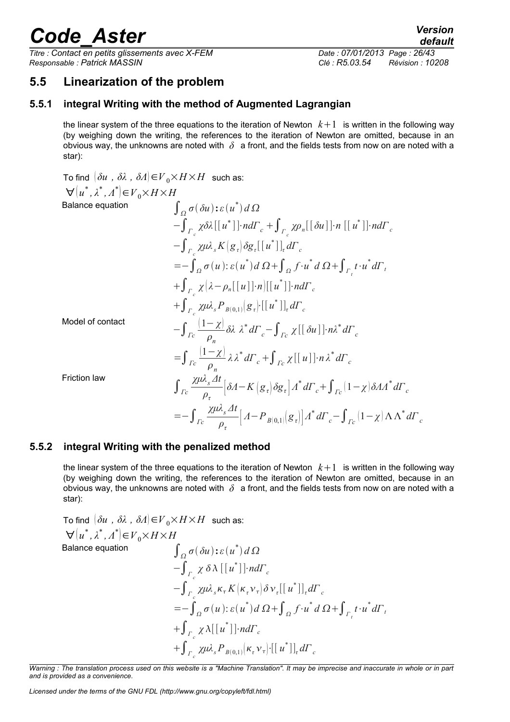*Titre : Contact en petits glissements avec X-FEM Date : 07/01/2013 Page : 26/43 Responsable : Patrick MASSIN Clé : R5.03.54 Révision : 10208*

*default*

## **5.5 Linearization of the problem**

#### **5.5.1 integral Writing with the method of Augmented Lagrangian**

the linear system of the three equations to the iteration of Newton  $k+1$  is written in the following way (by weighing down the writing, the references to the iteration of Newton are omitted, because in an obvious way, the unknowns are noted with  $\delta$  a front, and the fields tests from now on are noted with a star):

To find 
$$
(\delta u, \delta \lambda, \delta A) \in V_0 \times H \times H
$$
 such as:  
\n
$$
\forall (u^*, \lambda^*, \Lambda^*) \in V_0 \times H \times H
$$
\nBalance equation  
\n
$$
\int_{\Omega} \sigma(\delta u) : \varepsilon (u^*) d\Omega
$$
\n
$$
- \int_{\Gamma_c} \chi \delta \lambda [[u^*]] \cdot nd\Gamma_c + \int_{\Gamma_c} \chi \rho_n [[\delta u]] \cdot n [[u^*]] \cdot nd\Gamma_c
$$
\n
$$
- \int_{\Gamma_c} \chi \mu \lambda_s K[g_\tau] \delta g_\tau [[u^*]]_t d\Gamma_c
$$
\n
$$
= - \int_{\Omega} \sigma(u) : \varepsilon (u^*) d\Omega + \int_{\Omega} f \cdot u^* d\Omega + \int_{\Gamma_t} t \cdot u^* d\Gamma_t
$$
\n
$$
+ \int_{\Gamma_c} \chi (\lambda - \rho_n [[u]] \cdot n) [[u^*]] \cdot nd\Gamma_c
$$
\nModel of contact  
\n
$$
- \int_{\Gamma_c} \frac{(1 - \chi)}{\rho_n} \delta \lambda \lambda^* d\Gamma_c - \int_{\Gamma_c} \chi [[\delta u]] \cdot n \lambda^* d\Gamma_c
$$
\n
$$
= \int_{\Gamma_c} \frac{(1 - \chi)}{\rho_n} \lambda \lambda^* d\Gamma_c + \int_{\Gamma_c} \chi [[u]] \cdot n \lambda^* d\Gamma_c
$$
\nFriction law  
\n
$$
\int_{\Gamma_c} \frac{\chi \mu \lambda_s dt}{\rho_\tau} [\delta A - K[g_\tau] \delta g_\tau] \Lambda^* d\Gamma_c + \int_{\Gamma_c} (1 - \chi) \delta A \Lambda^* d\Gamma_c
$$
\n
$$
= - \int_{\Gamma_c} \frac{\chi \mu \lambda_s dt}{\rho_\tau} [A - P_{B[0,1]}[g_\tau]] \Lambda^* d\Gamma_c - \int_{\Gamma_c} (1 - \chi) \Lambda \Lambda^* d\Gamma_c
$$

#### **5.5.2 integral Writing with the penalized method**

the linear system of the three equations to the iteration of Newton  $k+1$  is written in the following way (by weighing down the writing, the references to the iteration of Newton are omitted, because in an obvious way, the unknowns are noted with *δ* a front, and the fields tests from now on are noted with a star):

To find 
$$
(\delta u, \delta \lambda, \delta A) \in V_0 \times H \times H
$$
 such as:  
\n
$$
\forall (u^*, \lambda^*, \Lambda^*) \in V_0 \times H \times H
$$
\nBalance equation  
\n
$$
\int_{\Omega} \sigma(\delta u) : \varepsilon(u^*) d\Omega
$$
\n
$$
- \int_{\Gamma_c} \chi \delta \lambda [[u^*]] \cdot nd\Gamma_c
$$
\n
$$
- \int_{\Gamma_c} \chi \mu \lambda_s \kappa_{\tau} K [\kappa_{\tau} \nu_{\tau}] \delta \nu_{\tau} [[u^*]]_{\tau} d\Gamma_c
$$
\n
$$
= - \int_{\Omega} \sigma(u) : \varepsilon(u^*) d\Omega + \int_{\Omega} f \cdot u^* d\Omega + \int_{\Gamma_c} t \cdot u^* d\Gamma_c
$$
\n
$$
+ \int_{\Gamma_c} \chi \lambda [[u^*]] \cdot nd\Gamma_c
$$
\n
$$
+ \int_{\Gamma_c} \chi \mu \lambda_s P_{B(0,1)} [\kappa_{\tau} \nu_{\tau}] \cdot [[u^*]]_{\tau} d\Gamma_c
$$

*Warning : The translation process used on this website is a "Machine Translation". It may be imprecise and inaccurate in whole or in part and is provided as a convenience.*

*Licensed under the terms of the GNU FDL (http://www.gnu.org/copyleft/fdl.html)*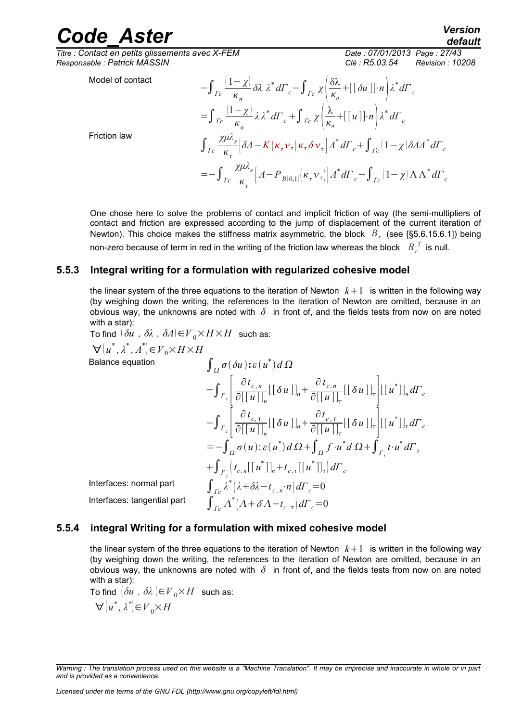**Friction law** 

 $\overline{T}$ *Titre : Contact en petits glissements avec X-FEM Responsable : Patrick MASSIN Clé : R5.03.54 Révision : 10208*

*default*

Model of contact

$$
-\int_{\Gamma c} \frac{(1-\chi)}{\kappa_n} \delta \lambda \ \lambda^* d\Gamma_c - \int_{\Gamma c} \chi \left( \frac{\delta \lambda}{\kappa_n} + [[\delta u]] \cdot n \right) \lambda^* d\Gamma_c
$$
  

$$
= \int_{\Gamma c} \frac{(1-\chi)}{\kappa_n} \lambda \lambda^* d\Gamma_c + \int_{\Gamma c} \chi \left( \frac{\lambda}{\kappa_n} + [[u]] \cdot n \right) \lambda^* d\Gamma_c
$$
  

$$
\int_{\Gamma c} \frac{\chi \mu \lambda_s}{\kappa_\tau} [\delta A - K(\kappa_\tau v_\tau) \kappa_\tau \delta v_\tau] \Lambda^* d\Gamma_c + \int_{\Gamma c} (1-\chi) \delta A \Lambda^* d\Gamma_c
$$
  

$$
= - \int_{\Gamma c} \frac{\chi \mu \lambda_s}{\kappa_\tau} [A - P_{B(0,1)}(\kappa_\tau v_\tau)] \Lambda^* d\Gamma_c - \int_{\Gamma c} (1-\chi) \Lambda \Lambda^* d\Gamma_c
$$

One chose here to solve the problems of contact and implicit friction of way (the semi-multipliers of contact and friction are expressed according to the jump of displacement of the current iteration of Newton). This choice makes the stiffness matrix asymmetric, the block *B<sup>r</sup>* (see [§5.6.[15.6.1\]](#page-27-1)) being non-zero because of term in red in the writing of the friction law whereas the block  $\left\|B\right\|_r^T$  is null.

### **5.5.3 Integral writing for a formulation with regularized cohesive model**

the linear system of the three equations to the iteration of Newton  $k+1$  is written in the following way (by weighing down the writing, the references to the iteration of Newton are omitted, because in an obvious way, the unknowns are noted with *δ* in front of, and the fields tests from now on are noted with a star):

To find 
$$
(\delta u, \delta \lambda, \delta A) \in V_0 \times H \times H
$$
 such as:  
\n
$$
\forall (u^*, \lambda^*, \Lambda^*) \in V_0 \times H \times H
$$
\nBalance equation  
\n
$$
\int_{\Omega} \sigma(\delta u) : \varepsilon (u^*) d\Omega
$$
\n
$$
- \int_{\Gamma_c} \left[ \frac{\partial t_{c,n}}{\partial [[u]]_n} [[\delta u]]_n + \frac{\partial t_{c,n}}{\partial [[u]]_r} [[\delta u]]_r \right] [[u^*]]_n d\Gamma_c
$$
\n
$$
- \int_{\Gamma_c} \left[ \frac{\partial t_{c,\tau}}{\partial [[u]]_n} [[\delta u]]_n + \frac{\partial t_{c,\tau}}{\partial [[u]]_r} [[\delta u]]_r \right] [[u^*]]_r d\Gamma_c
$$
\n
$$
= - \int_{\Omega} \sigma(u) : \varepsilon (u^*) d\Omega + \int_{\Omega} f \cdot u^* d\Omega + \int_{\Gamma_t} t \cdot u^* d\Gamma_t
$$
\nInterfaces: normal part  
\n
$$
\int_{\Gamma_c} \lambda^* (\lambda + \delta \lambda - t_{c,n} \cdot n) d\Gamma_c = 0
$$
\nInterfaces: tangential part  
\n
$$
\int_{\Gamma_c} \lambda^* (\lambda + \delta \Lambda - t_{c,\tau}) d\Gamma_c = 0
$$

### **5.5.4 integral Writing for a formulation with mixed cohesive model**

the linear system of the three equations to the iteration of Newton  $k+1$  is written in the following way (by weighing down the writing, the references to the iteration of Newton are omitted, because in an obvious way, the unknowns are noted with *δ* in front of, and the fields tests from now on are noted with a star):

To find  $\left|\delta u\right|$ ,  $\delta\lambda\left|\in V_0\times H\right|$  such as:  $\forall (u^*, \lambda^*) \in V_0 \times H$ 

*Warning : The translation process used on this website is a "Machine Translation". It may be imprecise and inaccurate in whole or in part and is provided as a convenience.*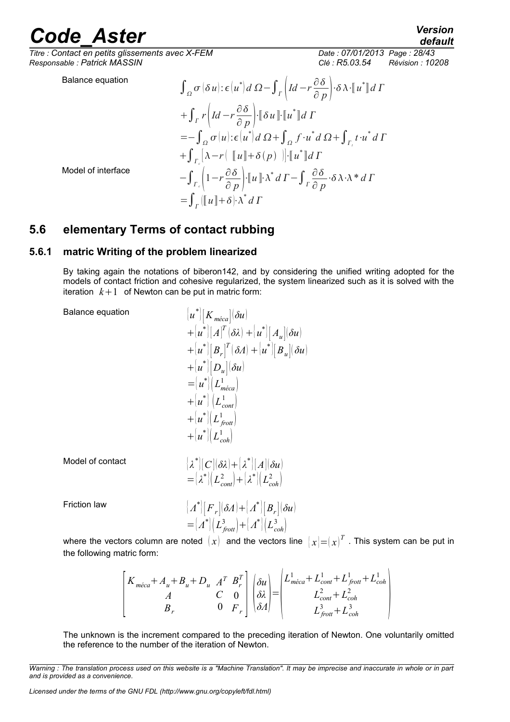*default*

*Titre : Contact en petits glissements avec X-FEM Date : 07/01/2013 Page : 28/43 Responsable : Patrick MASSIN Clé : R5.03.54 Révision : 10208*

Balance equation

$$
\int_{\Omega} \sigma (\delta u) : \epsilon (u^*) d \Omega - \int_{\Gamma} \left( Id - r \frac{\partial \delta}{\partial p} \right) \cdot \delta \lambda \cdot [u^*] d \Gamma
$$
  
+ 
$$
\int_{\Gamma} r \left( Id - r \frac{\partial \delta}{\partial p} \right) \cdot [\delta u] \cdot [u^*] d \Gamma
$$
  
= 
$$
- \int_{\Omega} \sigma (u) : \epsilon (u^*) d \Omega + \int_{\Omega} f \cdot u^* d \Omega + \int_{\Gamma_t} t \cdot u^* d \Gamma
$$
  
+ 
$$
\int_{\Gamma_c} [\lambda - r] [u] + \delta (p) ] \cdot [u^*] d \Gamma
$$
  
- 
$$
\int_{\Gamma_c} \left( 1 - r \frac{\partial \delta}{\partial p} \right) \cdot [u] \cdot \lambda^* d \Gamma - \int_{\Gamma} \frac{\partial \delta}{\partial p} \cdot \delta \lambda \cdot \lambda^* d \Gamma
$$
  
= 
$$
\int_{\Gamma} ([u] + \delta) \cdot \lambda^* d \Gamma
$$

Model of interface

## <span id="page-27-0"></span>**5.6 elementary Terms of contact rubbing**

### **5.6.1 matric Writing of the problem linearized**

<span id="page-27-1"></span>By taking again the notations of biberon[142,](#page-41-0) and by considering the unified writing adopted for the models of contact friction and cohesive regularized, the system linearized such as it is solved with the iteration  $k+1$  of Newton can be put in matric form:

Balance equation {*u*

$$
\begin{array}{l} \left[u^*\right]\!\!\left[K_{\,m\acute{e}ca}\right]\!\!\left(\delta u\right) \\ +\left[u^*\right]\!\!\left[A\right]^T\!\!\left(\delta\lambda\right)+\left[u^*\right]\!\!\left[A_u\right]\!\!\left(\delta u\right) \\ +\left[u^*\right]\!\!\left[B_r\right]^T\!\!\left(\delta A\right)+\left[u^*\right]\!\!\left[B_u\right]\!\!\left(\delta u\right) \\ +\left[u^*\right]\!\!\left[D_u\right]\!\!\left(\delta u\right) \\ =\left[u^*\right]\!\!\left(L_{\,m\acute{e}ca}^1\right) \\ +\left[u^*\right]\left(L_{\,cont}^1\right) \\ +\left[u^*\right]\!\!\left(L_{\,front}^1\right) \\ +\left[u^*\right]\!\!\left(L_{\,coh}^1\right) \end{array}
$$

Model of contact { *λ*

$$
\begin{aligned} &\left[\lambda^*\right]\left[C\right]\left(\delta\lambda\right)+\left[\lambda^*\right]\left[A\right]\left(\delta u\right) \\ &=\left[\lambda^*\right]\left(L_{cont}^2\right)+\left[\lambda^*\right]\left(L_{coh}^2\right) \end{aligned}
$$

Friction law { *Λ*

$$
\begin{aligned} &\left[\left.A^*\right]\left[F_r\right]\left(\delta A\right) + \left[A^*\right]\left[B_r\right]\left(\delta u\right) \right] \\ &= \left[A^*\right]\left(L_{front}^3\right) + \left[A^*\right]\left(L_{coh}^3\right) \end{aligned}
$$

where the vectors column are noted  $(x)$  and the vectors line  $(x|=(x)^T$  . This system can be put in the following matric form:

$$
\begin{bmatrix} K_{m\acute{e}ca} + A_u + B_u + D_u & A^T & B^T_r \\ A & C & 0 \\ B_r & 0 & F_r \end{bmatrix} \begin{bmatrix} \delta u \\ \delta \lambda \\ \delta A \end{bmatrix} = \begin{bmatrix} L_{m\acute{e}ca}^1 + L_{cont}^1 + L_{front}^1 + L_{coh}^1 \\ L_{cont}^2 + L_{coh}^2 \\ L_{front}^3 + L_{coh}^3 \end{bmatrix}
$$

The unknown is the increment compared to the preceding iteration of Newton. One voluntarily omitted the reference to the number of the iteration of Newton.

*Warning : The translation process used on this website is a "Machine Translation". It may be imprecise and inaccurate in whole or in part and is provided as a convenience.*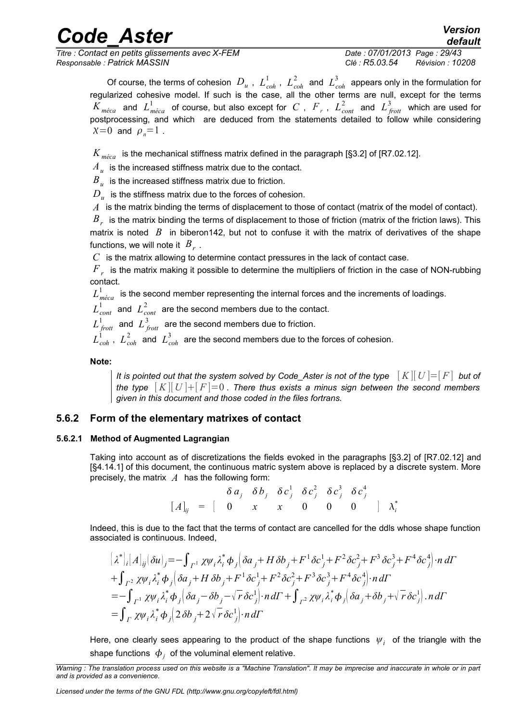*Titre : Contact en petits glissements avec X-FEM Date : 07/01/2013 Page : 29/43 Responsable : Patrick MASSIN Clé : R5.03.54 Révision : 10208*

*default*

Of course, the terms of cohesion  $D_u$  ,  $L^1_{coh}$  ,  $L^2_{coh}$  and  $L^3_{coh}$  appears only in the formulation for regularized cohesive model. If such is the case, all the other terms are null, except for the terms  $K_{m\acute{e}ca}$  and  $L_{m\acute{e}ca}^1$  of course, but also except for  $C$  ,  $F$  ,  $L_{cont}^2$  and  $L_{frot}^3$  which are used for postprocessing, and which are deduced from the statements detailed to follow while considering  $x=0$  and  $\rho_n=1$ .

*K méca* is the mechanical stiffness matrix defined in the paragraph [§3.2] of [R7.02.12].

 $\overline{A}_u$  is the increased stiffness matrix due to the contact.

 $\overline{B}_u^{}$  is the increased stiffness matrix due to friction.

 $D_{\overline{u}}$  is the stiffness matrix due to the forces of cohesion.

*A* is the matrix binding the terms of displacement to those of contact (matrix of the model of contact).

 $\overline{B}_{r}$  is the matrix binding the terms of displacement to those of friction (matrix of the friction laws). This matrix is noted  $\overline{B}$  in biberon[142,](#page-41-0) but not to confuse it with the matrix of derivatives of the shape functions, we will note it  $B_r$  .

*C* is the matrix allowing to determine contact pressures in the lack of contact case.

 $\overline{F}_{\overline{r}}$  is the matrix making it possible to determine the multipliers of friction in the case of NON-rubbing contact.

 $L^1_{m\acute{e}ca}$  is the second member representing the internal forces and the increments of loadings.

 $L^1_{\mathit{cont}}$  and  $\ L^2_{\mathit{cont}}$  are the second members due to the contact.

 $L_{\textit{front}}^1$  and  $L_{\textit{front}}^3$  are the second members due to friction.

 $L^1_{\ coh}$  ,  $\ L^2_{\ coh}$  and  $\ L^3_{\ coh}$  are the second members due to the forces of cohesion.

**Note:**

*It is pointed out that the system solved by Code\_Aster is not of the type* [*K*][*U* ]=[*F*] *but of the type*  $[K][U]+[F]=0$ . There thus exists a minus sign between the second members *given in this document and those coded in the files fortrans.*

### **5.6.2 Form of the elementary matrixes of contact**

#### **5.6.2.1 Method of Augmented Lagrangian**

Taking into account as of discretizations the fields evoked in the paragraphs [§3.2] of [R7.02.12] and [§4.[14.1\]](#page-14-1) of this document, the continuous matric system above is replaced by a discrete system. More precisely, the matrix *A* has the following form:

$$
\begin{bmatrix} \delta a_j & \delta b_j & \delta c_j^1 & \delta c_j^2 & \delta c_j^3 & \delta c_j^4 \\ \hline \end{bmatrix} \begin{bmatrix} A \end{bmatrix}_{ij} = \begin{bmatrix} 0 & x & x & 0 & 0 & 0 & 0 \\ 0 & 0 & 0 & 0 & 0 \\ 0 & 0 & 0 & 0 & 0 \end{bmatrix} \begin{bmatrix} \lambda_i^* \\ \lambda_i^* \end{bmatrix}
$$

Indeed, this is due to the fact that the terms of contact are cancelled for the ddls whose shape function associated is continuous. Indeed,

$$
\begin{aligned}\n\left[\lambda^*\right]_i[A]_{ij}(\delta u)_j &= -\int_{\Gamma^1} \chi \psi_i \lambda_i^* \phi_j \left(\delta a_j + H \delta b_j + F^1 \delta c_j^1 + F^2 \delta c_j^2 + F^3 \delta c_j^3 + F^4 \delta c_j^4\right) \cdot n \, d\Gamma \\
&+ \int_{\Gamma^2} \chi \psi_i \lambda_i^* \phi_j \left(\delta a_j + H \delta b_j + F^1 \delta c_j^1 + F^2 \delta c_j^2 + F^3 \delta c_j^3 + F^4 \delta c_j^4\right) \cdot n \, d\Gamma \\
&= -\int_{\Gamma^1} \chi \psi_i \lambda_i^* \phi_j \left(\delta a_j - \delta b_j - \sqrt{r} \delta c_j^1\right) \cdot n \, d\Gamma + \int_{\Gamma^2} \chi \psi_i \lambda_i^* \phi_j \left(\delta a_j + \delta b_j + \sqrt{r} \delta c_j^1\right) \cdot n \, d\Gamma \\
&= \int_{\Gamma} \chi \psi_i \lambda_i^* \phi_j \left(2 \delta b_j + 2 \sqrt{r} \delta c_j^1\right) \cdot n \, d\Gamma\n\end{aligned}
$$

Here, one clearly sees appearing to the product of the shape functions  $\vert \psi_i \vert$  of the triangle with the shape functions  $\ket{\phi_j}$  of the voluminal element relative.

*Warning : The translation process used on this website is a "Machine Translation". It may be imprecise and inaccurate in whole or in part and is provided as a convenience.*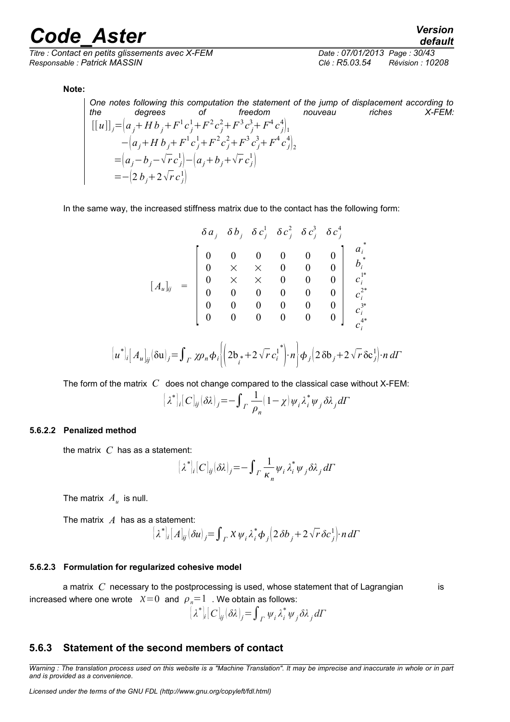*Titre : Contact en petits glissements avec X-FEM Date : 07/01/2013 Page : 30/43 Responsable : Patrick MASSIN Clé : R5.03.54 Révision : 10208*

*default*

#### **Note:**

One notes following this computation the statement of the jump of displacement according to<br>the degrees of freedom nouveau riches X-FEM: *the degrees of freedom nouveau riches X-FEM:*  $[[u]]_j = (a_j + Hb_j + F^1c_j^1 + F^2c_j^2 + F^3c_j^3 + F^4c_j^4]$  $-\left(a_j + H b_j + F^1 c_j^1 + F^2 c_j^2 + F^3 c_j^3 + F^4 c_j^4\right]_2$  $= (a_j - b_j - \sqrt{r} c_j^1) - (a_j + b_j + \sqrt{r} c_j^1)$  $=-\left(2 b_j + 2 \sqrt{r} c_j^1\right)$ 

In the same way, the increased stiffness matrix due to the contact has the following form:

*a <sup>j</sup> b<sup>j</sup> c <sup>j</sup>* 1 *c <sup>j</sup>* 2 *c <sup>j</sup>* 3 *c <sup>j</sup>* 4 [*A<sup>u</sup>* ]*ij* = [ 0 0 0 0 0 0 0 × × 0 0 0 0 × × 0 0 0 0 0 0 0 0 0 0 0 0 0 0 0 <sup>0</sup> <sup>0</sup> <sup>0</sup> <sup>0</sup> <sup>0</sup> <sup>0</sup> ] *ai* \* *bi* \* *ci* 1\* *ci* 2\* *ci* 3\* *ci* 4\*

$$
[u^*]_i [A_u]_{ij} (\delta u)_j = \int_{\Gamma} \chi \rho_n \phi_i \left\langle \left( 2b_i + 2\sqrt{r} c_i^{1*} \right) n \right\rangle \phi_j \left( 2\delta b_j + 2\sqrt{r} \delta c_j^{1} \right) n d\Gamma
$$

The form of the matrix *C* does not change compared to the classical case without X-FEM:

$$
[\lambda^*]_i[C]_{ij}(\delta\lambda)_j = -\int_F \frac{1}{\rho_n} (1 - \chi) \psi_i \lambda_i^* \psi_j \delta\lambda_j d\Gamma
$$

#### **5.6.2.2 Penalized method**

the matrix *C* has as a statement:

$$
[\lambda^*]_i[C]_{ij}(\delta \lambda)_j = -\int_F \frac{1}{\kappa_n} \psi_i \lambda_i^* \psi_j \delta \lambda_j d\Gamma
$$

The matrix  $A_u$  is null.

The matrix *A* has as a statement:

$$
\left\{\lambda^*\right\}_i\left[A\right]_{ij}\left(\delta u\right)_j=\int_{\Gamma}X\,\psi_i\,\lambda_i^*\,\phi_j\left(2\,\delta b_j+2\,\sqrt{r}\,\delta c_j^1\right)\,nd\Gamma
$$

#### **5.6.2.3 Formulation for regularized cohesive model**

a matrix C necessary to the postprocessing is used, whose statement that of Lagrangian is increased where one wrote  $X=0$  and  $\rho_n=1$ . We obtain as follows:

$$
\left[\lambda^*\right]_i\left[C\right]_{ij}\left(\delta\lambda\right)_j=\int_{\Gamma}\psi_i\,\lambda_i^*\,\psi_j\,\delta\lambda_j\,d\Gamma
$$

#### **5.6.3 Statement of the second members of contact**

*Warning : The translation process used on this website is a "Machine Translation". It may be imprecise and inaccurate in whole or in part and is provided as a convenience.*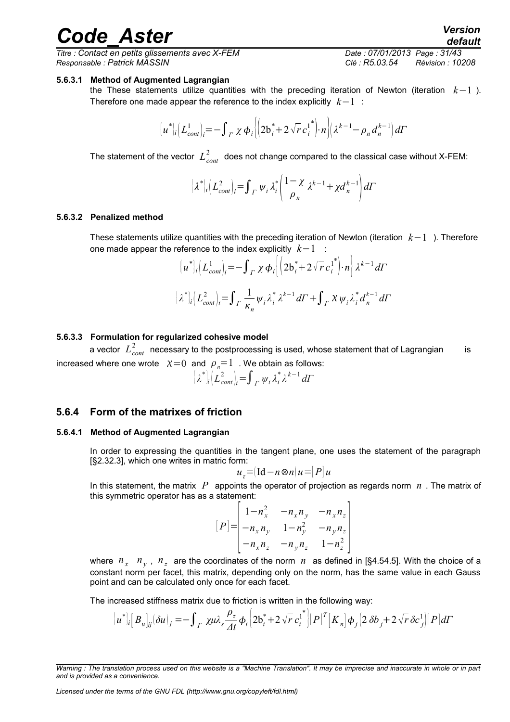*Titre : Contact en petits glissements avec X-FEM Date : 07/01/2013 Page : 31/43 Responsable : Patrick MASSIN Clé : R5.03.54 Révision : 10208*

#### **5.6.3.1 Method of Augmented Lagrangian**

the These statements utilize quantities with the preceding iteration of Newton (iteration *k*−1 ). Therefore one made appear the reference to the index explicitly *k*−1 :

$$
[u^*]_i [L_{cont}^1]_i = -\int_{\Gamma} \chi \, \phi_i \left\{ \left( 2b_i^* + 2\sqrt{r} \, c_i^{1*} \right) \cdot n \right\} \left( \lambda^{k-1} - \rho_n \, d_n^{k-1} \right) d\Gamma
$$

The statement of the vector  $\,{L\mathstrut}_{cont}^2\,$  does not change compared to the classical case without X-FEM:

$$
[\lambda^*]_i \Big( L_{cont}^2 \Big)_i = \int_{\Gamma} \psi_i \lambda_i^* \left( \frac{1 - \chi}{\rho_n} \lambda^{k-1} + \chi d_n^{k-1} \right) d\Gamma
$$

#### **5.6.3.2 Penalized method**

These statements utilize quantities with the preceding iteration of Newton (iteration *k*−1 ). Therefore one made appear the reference to the index explicitly *k*−1 :

$$
\left\{ u^* \right\}_i \left( L_{cont}^1 \right)_i = - \int_{\Gamma} \chi \, \phi_i \left\{ \left( 2b_i^* + 2\sqrt{r} \, c_i^{1^*} \right) \cdot n \right\} \lambda^{k-1} \, d\Gamma
$$
\n
$$
\left\{ \lambda^* \right\}_i \left( L_{cont}^2 \right)_i = \int_{\Gamma} \frac{1}{\kappa_n} \psi_i \, \lambda_i^* \, \lambda^{k-1} \, d\Gamma + \int_{\Gamma} \chi \, \psi_i \, \lambda_i^* \, d_n^{k-1} \, d\Gamma
$$

#### **5.6.3.3 Formulation for regularized cohesive model**

a vector  $\ L^2_{cont}$  necessary to the postprocessing is used, whose statement that of Lagrangian is increased where one wrote  $X=0$  and  $\rho_n=1$ . We obtain as follows:

$$
\left\{\lambda^*\right\vert_i\left(L_{cont}^2\right\vert_i=\int_{\Gamma}\psi_i\,\lambda_i^*\,\lambda^{k-1}\,d\Gamma
$$

### **5.6.4 Form of the matrixes of friction**

#### **5.6.4.1 Method of Augmented Lagrangian**

In order to expressing the quantities in the tangent plane, one uses the statement of the paragraph [§2.[32.3\]](#page-5-2), which one writes in matric form:

$$
u_{\tau} = (\text{Id} - n \otimes n) u = |P| u
$$

In this statement, the matrix *P* appoints the operator of projection as regards norm *n* . The matrix of this symmetric operator has as a statement:

$$
[P] = \begin{vmatrix} 1 - n_x^2 & -n_x n_y & -n_x n_z \\ -n_x n_y & 1 - n_y^2 & -n_y n_z \\ -n_x n_z & -n_y n_z & 1 - n_z^2 \end{vmatrix}
$$

where  $n_x$   $n_y$ ,  $n_z$  are the coordinates of the norm  $n$  as defined in [§4.[54.5\]](#page-21-1). With the choice of a constant norm per facet, this matrix, depending only on the norm, has the same value in each Gauss point and can be calculated only once for each facet.

The increased stiffness matrix due to friction is written in the following way:

$$
[u^*]_i[B_u]_j(\delta u)_j = -\int_{\varGamma} \chi \mu \lambda_s \frac{\rho_\tau}{\varDelta t} \phi_i \Big[2 \mathbf{b}_i^* + 2 \sqrt{r} \, \mathbf{c}_i^{1^*} \Big] [\varGamma]^T \Big[ K_n \Big] \phi_j \Big( 2 \, \delta \mathbf{b}_j + 2 \sqrt{r} \, \delta \mathbf{c}_j^1 \Big] [\varGamma] \, d\varGamma
$$

*Warning : The translation process used on this website is a "Machine Translation". It may be imprecise and inaccurate in whole or in part and is provided as a convenience.*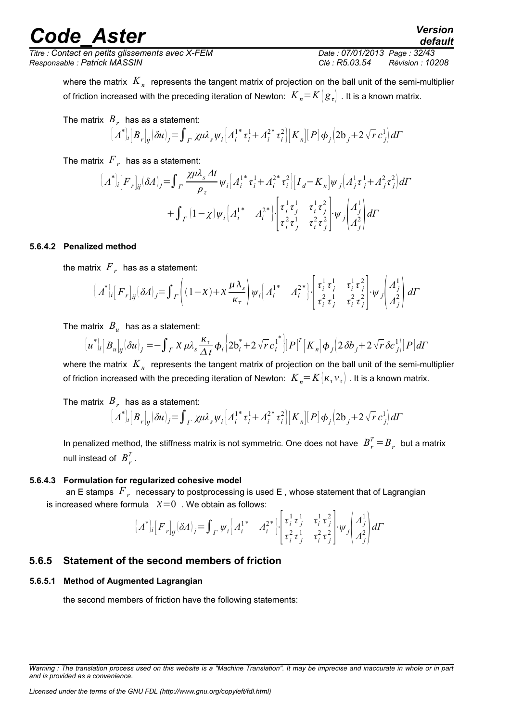$T$ itre : Contact en petits glissements avec X-FEM *Responsable : Patrick MASSIN Clé : R5.03.54 Révision : 10208*

*default*

where the matrix  $\left. K_{_{n}}\right.$  represents the tangent matrix of projection on the ball unit of the semi-multiplier of friction increased with the preceding iteration of Newton:  $K_n = K(g_n)$ . It is a known matrix.

The matrix 
$$
B_r
$$
 has as a statement:

$$
\left[\vec{A}^*\right]_i[B_r]_{ij}(\delta u)_j = \int_{\Gamma} \chi \mu \lambda_s \psi_i \left[A_i^{1*} \tau_i^1 + A_i^{2*} \tau_i^2\right] \left[K_n\right] \left[P\right] \phi_j \left(2\mathbf{b}_j + 2\sqrt{r} \, c_j^1\right) d\Gamma
$$

The matrix  $\left< F \right>_r\;$  has as a statement:

$$
\begin{aligned}\n\left[\Lambda^*\right]_i \left[F_r\right]_{ij} (\delta \Lambda)_j &= \int_{\Gamma} \frac{\chi \mu \lambda_s \varDelta t}{\rho_\tau} \psi_i \left[\Lambda_i^{1*} \tau_i^1 + \Lambda_i^{2*} \tau_i^2\right] \left[I_d - K_n\right] \psi_j \left(\Lambda_j^1 \tau_j^1 + \Lambda_j^2 \tau_j^2\right) d\Gamma \\
&\quad + \int_{\Gamma} \left(1 - \chi\right) \psi_i \left[\Lambda_i^{1*} \Lambda_i^{2*}\right] \cdot \left[\tau_i^1 \tau_j^1 \tau_j^1 \tau_j^2 \right] \cdot \psi_j \left(\Lambda_j^1 \right) d\Gamma\n\end{aligned}
$$

#### **5.6.4.2 Penalized method**

the matrix  $\left< F_r \right>$  has as a statement:

$$
\left[\right. A^*\big|_i \left[F_r\big|_{ij} (\delta A)_j = \int \left[(1-\chi) + \chi \frac{\mu \lambda_s}{\kappa_\tau} \right] \psi_i \left[\right. A_i^{1*} \left.\right. A_i^{2*}\right] \cdot \left[\begin{matrix} \tau_i^1 \tau_j^1 & \tau_i^1 \tau_j^2 \\ \tau_i^2 \tau_j^1 & \tau_i^2 \tau_j^2 \end{matrix} \right] \cdot \psi_j \left(\begin{matrix} A_j^1 \\ A_j^2 \end{matrix} \right) d\Gamma
$$

The matrix  $\left|B_u\right|$  has as a statement:

$$
[u^*]_i[B_u]_j(\delta u)_j = -\int_{\Gamma} \chi \, \mu \lambda_s \frac{\kappa_{\tau}}{\Delta t} \phi_i \left[2b_i^* + 2\sqrt{r} \, c_i^{1^*}\right] [P]^T [K_n] \phi_j \left(2\delta b_j + 2\sqrt{r} \, \delta c_j^1\right) [P] d\Gamma
$$

where the matrix  $\left. K_{\,n} \right.$  represents the tangent matrix of projection on the ball unit of the semi-multiplier of friction increased with the preceding iteration of Newton:  $K_{n} = K(\kappa_{\tau}v_{\tau})$  . It is a known matrix.

### The matrix  $\left|B\right\rangle_{r}$  has as a statement:

$$
\left[\left(A^*\right]_i\left[B_r\right]_{ij}\left(\delta u\right)_j=\int\right]_T\chi\mu\lambda_s\psi_i\left[A_i^{1*}\tau_i^1+A_i^{2*}\tau_i^2\right]\left[K_n\right]\left[P\right]\phi_j\left(2b_j+2\sqrt{r}\,c_j^1\right)d\Gamma
$$

In penalized method, the stiffness matrix is not symmetric. One does not have  $\overline{B}_r^T$   $=$   $\overline{B}_r$  but a matrix null instead of  $B_r^T$ .

#### **5.6.4.3 Formulation for regularized cohesive model**

an E stamps  $\left. F_{\textit{r}}\right.$  necessary to postprocessing is used E , whose statement that of Lagrangian is increased where formula  $X=0$ . We obtain as follows:

$$
\left\{\boldsymbol{\Lambda}^*\right\}_i\left[F_r\right]_{ij}(\delta \boldsymbol{\Lambda})_j = \int_{\Gamma} \psi_i \left(\boldsymbol{\Lambda}_i^{1*} \quad \boldsymbol{\Lambda}_i^{2*}\right) \cdot \begin{bmatrix} \tau_i^1 \tau_j^1 & \tau_i^1 \tau_j^2 \\ \tau_i^2 \tau_j^1 & \tau_i^2 \tau_j^2 \end{bmatrix} \cdot \psi_j \begin{bmatrix} \boldsymbol{\Lambda}_j^1 \\ \boldsymbol{\Lambda}_j^2 \end{bmatrix} d\Gamma
$$

### **5.6.5 Statement of the second members of friction**

#### **5.6.5.1 Method of Augmented Lagrangian**

the second members of friction have the following statements:

*Warning : The translation process used on this website is a "Machine Translation". It may be imprecise and inaccurate in whole or in part and is provided as a convenience.*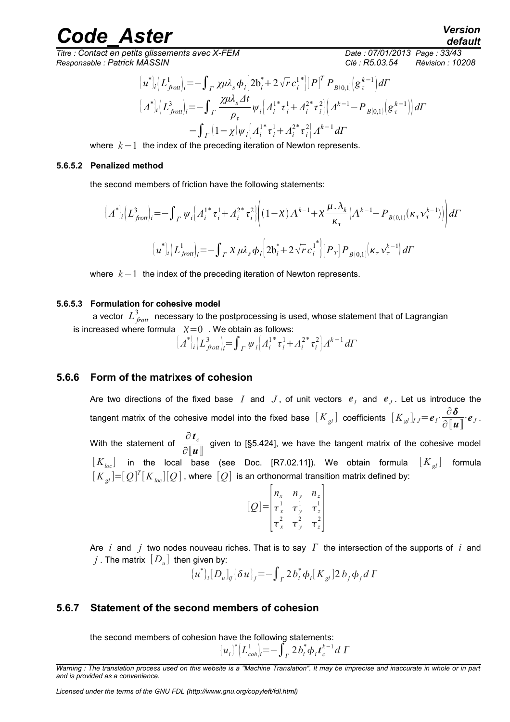*Titre : Contact en petits glissements avec X-FEM Date : 07/01/2013 Page : 33/43 Responsable : Patrick MASSIN Clé : R5.03.54 Révision : 10208*

$$
\begin{aligned}\n\left\{\boldsymbol{u}^*\right]_i \left(\boldsymbol{L}_{front}^1\right)_i &= -\int_{\Gamma} \chi \mu \lambda_s \boldsymbol{\phi}_i \left[2\mathbf{b}_i^* + 2\sqrt{r} \, c_i^{1*}\right] \left[\boldsymbol{P}\right]^T \boldsymbol{P}_{B(0,1)} \left(\mathbf{g}_\tau^{k-1}\right) d\boldsymbol{\Gamma} \\
\left[\boldsymbol{A}^*\right]_i \left(\boldsymbol{L}_{front}^3\right)_i &= -\int_{\Gamma} \frac{\chi \mu \lambda_s \Delta t}{\rho_\tau} \psi_i \left[\boldsymbol{A}_i^{1*} \boldsymbol{\tau}_i^1 + \boldsymbol{A}_i^{2*} \boldsymbol{\tau}_i^2\right] \left(\boldsymbol{A}^{k-1} - \boldsymbol{P}_{B(0,1)} \left(\mathbf{g}_\tau^{k-1}\right)\right) d\boldsymbol{\Gamma} \\
&\quad - \int_{\Gamma} \left(1 - \chi \right) \psi_i \left[\boldsymbol{A}_i^{1*} \boldsymbol{\tau}_i^1 + \boldsymbol{A}_i^{2*} \boldsymbol{\tau}_i^2\right] \boldsymbol{A}^{k-1} d\boldsymbol{\Gamma}\n\end{aligned}
$$

where *k*−1 the index of the preceding iteration of Newton represents.

#### **5.6.5.2 Penalized method**

the second members of friction have the following statements:

$$
\left[\Lambda^*\right]_i \left(L^3_{\text{front}}\right)_i = -\int_{\Gamma} \psi_i \left[\Lambda_i^{1*} \tau_i^1 + \Lambda_i^{2*} \tau_i^2\right] \left((1-\chi)\Lambda^{k-1} + \chi \frac{\mu \cdot \lambda_k}{\kappa_{\tau}} \left(\Lambda^{k-1} - P_{B(0,1)}(\kappa_{\tau} \nu_{\tau}^{k-1})\right)\right) d\Gamma
$$

$$
\left[u^*\right]_i \left(L^1_{\text{front}}\right)_i = -\int_{\Gamma} \chi \mu \lambda_s \phi_i \left[2b_i^* + 2\sqrt{r} c_i^{1*}\right] \left[P_T\right] P_{B(0,1)}(\kappa_{\tau} \nu_{\tau}^{k-1}) d\Gamma
$$

where *k*−1 the index of the preceding iteration of Newton represents.

#### **5.6.5.3 Formulation for cohesive model**

a vector  $\ L^3_{\,frot}$  necessary to the postprocessing is used, whose statement that of Lagrangian is increased where formula  $X=0$ . We obtain as follows:

$$
\left[\left(A^*\right]_i\left(L_{\text{front}}^3\right)_i = \int_{\Gamma} \psi_i \left[A_i^{1*} \tau_i^1 + A_i^{2*} \tau_i^2\right] A^{k-1} d\Gamma
$$

#### **5.6.6 Form of the matrixes of cohesion**

Are two directions of the fixed base  $|I|$  and  $|J|$ , of unit vectors  $|e_I|$  and  $|e_J|$ . Let us introduce the tangent matrix of the cohesive model into the fixed base  $\left[ K_{gl}\right]$  coefficients  $\left[ K_{gl}\right] _{IJ}=e_{I}\cdot \frac{\partial \delta }{\partial \left[ g\right] _{IJ}}$  $\frac{\partial \boldsymbol{\theta}}{\partial [\![\boldsymbol{u}]\!]} \cdot \boldsymbol{e}_J$ . With the statement of  $\frac{\partial \boldsymbol{t}_c}{\partial \boldsymbol{r}_c}$  $\frac{1}{\hat{C} \cdot \|\boldsymbol{u}\|}$  given to [§5.[424\]](#page-23-0), we have the tangent matrix of the cohesive model  $[K_{loc}]$  in the local base (see Doc. [R7.02.11]). We obtain formula  $[K_{gl}]$  formula  $[K_{_{\mathcal{S}^l}}]{=}[\mathcal{Q}]^{\mathit{T}}[K_{_{loc}}][\mathcal{Q}]$  , where  $[\mathcal{Q}]$  is an orthonormal transition matrix defined by:

$$
[Q] = \begin{vmatrix} n_x & n_y & n_z \\ \tau_x^1 & \tau_y^1 & \tau_z^1 \\ \tau_x^2 & \tau_y^2 & \tau_z^2 \end{vmatrix}
$$

Are  $i$  and  $j$  two nodes nouveau riches. That is to say  $\Gamma$  the intersection of the supports of  $i$  and  $j$  . The matrix  $\left[\,D_{u}\right]$  then given by:

$$
{u^*}_{i}[D_u]_{ij}[\delta u]_{j} = -\int_{\Gamma} 2b_i^* \phi_i[K_{gl}] 2b_j \phi_j d\Gamma
$$

### **5.6.7 Statement of the second members of cohesion**

the second members of cohesion have the following statements:

$$
{u_i}^* \left( L_{coh}^1 \right) = - \int_{\Gamma} 2 b_i^* \phi_i t_c^{k-1} d \Gamma
$$

*Warning : The translation process used on this website is a "Machine Translation". It may be imprecise and inaccurate in whole or in part and is provided as a convenience.*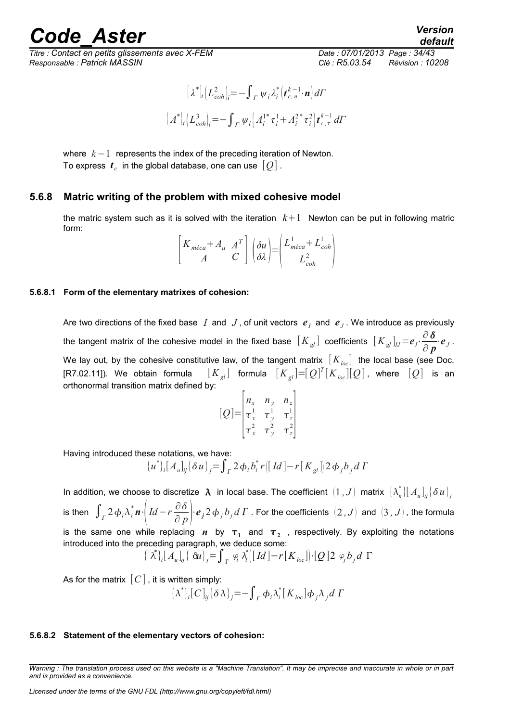## rande Aster *Version*

*Titre : Contact en petits glissements avec X-FEM Date : 07/01/2013 Page : 34/43 Responsable : Patrick MASSIN Clé : R5.03.54 Révision : 10208*

*default*

$$
\begin{aligned} \left[ \lambda^* \right]_i \left( L_{coh}^2 \right]_i &= - \int_{\Gamma} \psi_i \lambda_i^* \left( t_{c,n}^{k-1} \cdot \mathbf{n} \right) d\Gamma \\ \left[ \Lambda^* \right]_i \left( L_{coh}^3 \right]_i &= - \int_{\Gamma} \psi_i \left[ \Lambda_i^{1*} \tau_i^1 + \Lambda_i^{2*} \tau_i^2 \right] t_{c,\tau}^{k-1} d\Gamma \end{aligned}
$$

where *k*−1 represents the index of the preceding iteration of Newton. To express  $\textbf{\textit{t}}_c$  in the global database, one can use  $\left[\textbf{\textit{Q}}\right]$  .

### **5.6.8 Matric writing of the problem with mixed cohesive model**

the matric system such as it is solved with the iteration  $k+1$  Newton can be put in following matric form:

| $\sim$ <sub>méca</sub> + $A$ <sub>u</sub> |  |                 | $A^T \mid \lceil \delta u \rceil \mid L_{meca} + A$ |  |
|-------------------------------------------|--|-----------------|-----------------------------------------------------|--|
|                                           |  | $\delta\lambda$ |                                                     |  |

#### **5.6.8.1 Form of the elementary matrixes of cohesion:**

Are two directions of the fixed base  $|I|$  and  $|J|$ , of unit vectors  $|e_I|$  and  $|e_J|$ . We introduce as previously the tangent matrix of the cohesive model in the fixed base  $\left[K_{gl}\right]$  coefficients  $\left[K_{gl}\right]_{IJ}\!=\!\bm{e}_I\!\cdot\!\frac{\partial\,\bm{\delta}}{\partial\bm{x}}$  $\frac{\partial}{\partial p} \cdot e_j$ . We lay out, by the cohesive constitutive law, of the tangent matrix  $[K_{loc}]$  the local base (see Doc. [R7.02.11]). We obtain formula  $[K_{_{gl}}]$  formula  $[K_{_{gl}}]{=}[{\cal Q}]^T[K_{_{loc}}][{\cal Q}]$ , where  $[{\cal Q}]$  is an orthonormal transition matrix defined by:

$$
[Q] = \begin{vmatrix} n_x & n_y & n_z \\ \tau_x^1 & \tau_y^1 & \tau_z^1 \\ \tau_x^2 & \tau_y^2 & \tau_z^2 \end{vmatrix}
$$

Having introduced these notations, we have:

$$
{u^*}_{i}[A_u]_{ij} {\delta u}_{j} = \int_{\Gamma} 2 \phi_i b_i^* r [[\,Id\,] - r [K_{gl}]] 2 \phi_j b_j d\,\Gamma
$$

In addition, we choose to discretize  $\,\boldsymbol{\lambda}\,$  in local base. The coefficient  $\,\, [1\,,J]\,$  matrix  $\,\, [\lambda_n^*] [\,A_u\,]_{ij} \{\delta\,u\}_{j}$ is then  $\int_{\varGamma} 2\,\phi_{i}\lambda_{i}^{*}\bm{n}\cdot\left[Id\!-\!r\frac{\partial\,\delta}{\partial\,n}\right]$  $\frac{\partial}{\partial p}$   $\left| e_j 2 \phi_j b_j d\,\Gamma$  . For the coefficients  $(2\, ,J)$  and  $(3\, ,J)$  , the formula is the same one while replacing  $n$  by  $\tau_1$  and  $\tau_2$  , respectively. By exploiting the notations introduced into the preceding paragraph, we deduce some:

$$
\{\lambda^*\}_{i}[A_u]_{ij}\{\delta u\}_{j}=\int_{\Gamma}\varphi_i\lambda^*\big(\big[\,Id\,\big]-r\big[K_{loc}\big]\big)\cdot\big[Q\,\big]2\,\varphi_j\,b_j\,d\,\Gamma
$$

As for the matrix  $[C]$ , it is written simply:

$$
\{\lambda^*\}_i[C]_{ij} \{\delta \lambda\}_j = -\int_F \phi_i \lambda_i^* [K_{loc}] \phi_j \lambda_j d\Gamma
$$

#### **5.6.8.2 Statement of the elementary vectors of cohesion:**

*Warning : The translation process used on this website is a "Machine Translation". It may be imprecise and inaccurate in whole or in part and is provided as a convenience.*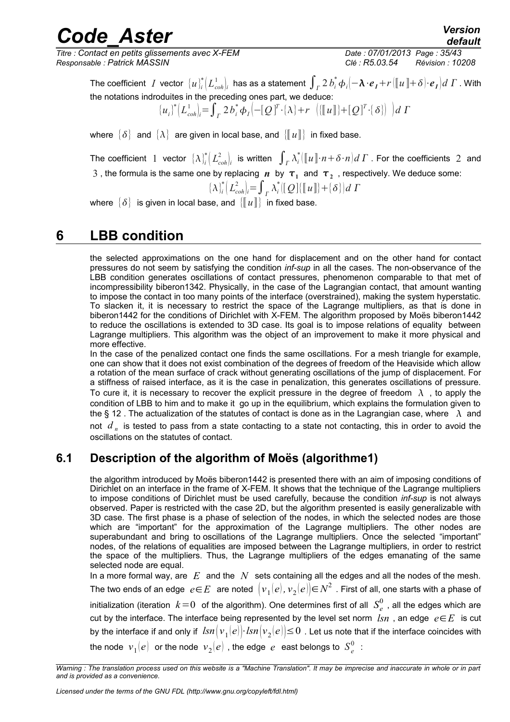*Titre : Contact en petits glissements avec X-FEM Date : 07/01/2013 Page : 35/43 Responsable : Patrick MASSIN Clé : R5.03.54 Révision : 10208*

*default*

The coefficient  $I$  vector  ${[u]}_i^*{\bigl( L_{coh}^1\bigr|}_i$  has as a statement  $\int_I 2\,b_i^*\,\phi_i[-\bm{\lambda}\cdot\bm{e}_I+r(\llbracket u\rrbracket+\delta){\cdot}\bm{e}_I]d\,\varGamma$  . With the notations indroduites in the preceding ones part, we deduce:

$$
\{u_i\}^* \left(L_{coh}^1\right) = \int_{\Gamma} 2 b_i^* \phi_I \left(-[Q]^T \cdot \{\lambda\} + r \left(\left[\left[u\right]\right] + [Q]^T \cdot \{\delta\}\right)\right) d\Gamma
$$

where  $\{\delta\}$  and  $\{\lambda\}$  are given in local base, and  $\{\llbracket u \rrbracket\}$  in fixed base.

The coefficient 1 vector  $\{\lambda\}^*_i\left(L^2_{coh}\right)_i$  is written  $\int_\varGamma \lambda^*_i(\llbracket u\rrbracket \cdot n+\delta\cdot n)d\varGamma$  . For the coefficients 2 and  $3$  , the formula is the same one by replacing  $n$  by  $\tau_1$  and  $\tau_2$  , respectively. We deduce some:

$$
\{\lambda_i^*\left(L_{coh}^2\right) = \int_{\Gamma} \lambda_i^*\left[\left[Q\right] \left\{\left[\!\left[u\right]\!\right] \right\} + \left\{\delta\right\}\right] d\Gamma
$$

where  $\{\delta\}$  is given in local base, and  $\{\Vert u\Vert\}$  in fixed base.

## **6 LBB condition**

<span id="page-34-0"></span>the selected approximations on the one hand for displacement and on the other hand for contact pressures do not seem by satisfying the condition *inf-sup* in all the cases. The non-observance of the LBB condition generates oscillations of contact pressures, phenomenon comparable to that met of incompressibility biberon1[342.](#page-41-11) Physically, in the case of the Lagrangian contact, that amount wanting to impose the contact in too many points of the interface (overstrained), making the system hyperstatic. To slacken it, it is necessary to restrict the space of the Lagrange multipliers, as that is done in biberon1[442](#page-41-10) for the conditions of Dirichlet with X-FEM. The algorithm proposed by Moës biberon1[442](#page-41-10) to reduce the oscillations is extended to 3D case. Its goal is to impose relations of equality between Lagrange multipliers. This algorithm was the object of an improvement to make it more physical and more effective.

In the case of the penalized contact one finds the same oscillations. For a mesh triangle for example, one can show that it does not exist combination of the degrees of freedom of the Heaviside which allow a rotation of the mean surface of crack without generating oscillations of the jump of displacement. For a stiffness of raised interface, as it is the case in penalization, this generates oscillations of pressure. To cure it, it is necessary to recover the explicit pressure in the degree of freedom  $\lambda$ , to apply the condition of LBB to him and to make it go up in the equilibrium, which explains the formulation given to the § 12. The actualization of the statutes of contact is done as in the Lagrangian case, where  $\lambda$  and not *d <sup>n</sup>* is tested to pass from a state contacting to a state not contacting, this in order to avoid the oscillations on the statutes of contact.

## **6.1 Description of the algorithm of Moës (algorithme1)**

the algorithm introduced by Moës biberon1[442](#page-41-10) is presented there with an aim of imposing conditions of Dirichlet on an interface in the frame of X-FEM. It shows that the technique of the Lagrange multipliers to impose conditions of Dirichlet must be used carefully, because the condition *inf-sup* is not always observed. Paper is restricted with the case 2D, but the algorithm presented is easily generalizable with 3D case. The first phase is a phase of selection of the nodes, in which the selected nodes are those which are "important" for the approximation of the Lagrange multipliers. The other nodes are superabundant and bring to oscillations of the Lagrange multipliers. Once the selected "important" nodes, of the relations of equalities are imposed between the Lagrange multipliers, in order to restrict the space of the multipliers. Thus, the Lagrange multipliers of the edges emanating of the same selected node are equal.

In a more formal way, are *E* and the *N* sets containing all the edges and all the nodes of the mesh. The two ends of an edge  $\;e{\in}E\;$  are noted  $\; \bigl\vert{v}_1(e),{v}_2(e)\bigl\vert{\in}N^2\;$  . First of all, one starts with a phase of initialization (iteration  $k\!=\!0\,$  of the algorithm). One determines first of all  $\,S^{0}_{e}\,$  , all the edges which are cut by the interface. The interface being represented by the level set norm  $\textit{lsn}$ , an edge  $e \in E$  is cut by the interface if and only if  $\;lsn\big(\nu_1(e)\big)\cdot lsn\big(\nu_2(e)\big)\!\le\!0\,$  . Let us note that if the interface coincides with the node  $\left. v_{1}(e)\right.$  or the node  $\left. v_{2}(e)\right.$  , the edge  $\left. e\right.$  east belongs to  $\left. S_{e}^{0}\right.$  :

*Warning : The translation process used on this website is a "Machine Translation". It may be imprecise and inaccurate in whole or in part and is provided as a convenience.*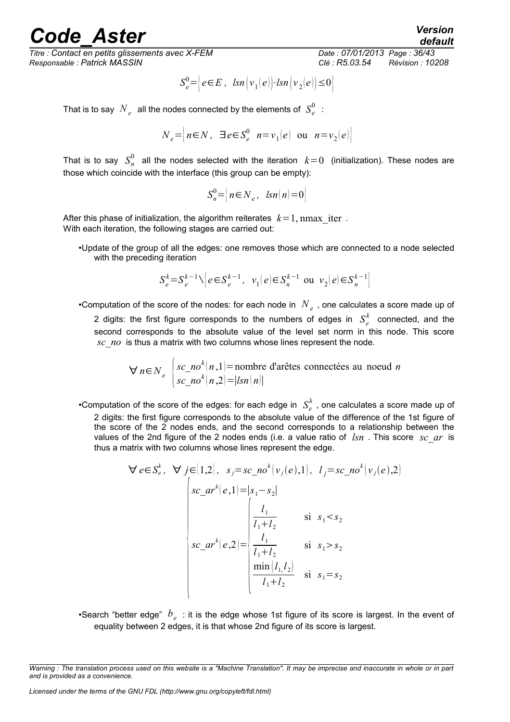*Titre : Contact en petits glissements avec X-FEM Date : 07/01/2013 Page : 36/43 Responsable : Patrick MASSIN Clé : R5.03.54 Révision : 10208*

$$
S_e^0 = \left[ e \in E , \ \ \text{Isn} \left( v_1(e) \right) \cdot \text{Isn} \left( v_2(e) \right) \le 0 \right]
$$

That is to say  $\left. N_{\textit{e}}\right.$  all the nodes connected by the elements of  $\left. S_{\textit{e}}^{0}\right.$  :

$$
N_e = \left[ n \in N, \exists e \in S_e^0 \mid n = v_1(e) \text{ ou } n = v_2(e) \right]
$$

That is to say  $S_n^0$  all the nodes selected with the iteration  $k=0$  (initialization). These nodes are those which coincide with the interface (this group can be empty):

$$
S_n^0 = \left\{ n \in N_e, \ \text{Isn}(n) = 0 \right\}
$$

After this phase of initialization, the algorithm reiterates  $k=1$ , nmax iter . With each iteration, the following stages are carried out:

•Update of the group of all the edges: one removes those which are connected to a node selected with the preceding iteration

$$
S_e^k = S_e^{k-1} \setminus \left[ e \in S_e^{k-1}, \ v_1(e) \in S_n^{k-1} \text{ ou } v_2(e) \in S_n^{k-1} \right]
$$

•Computation of the score of the nodes: for each node in  $\left. N_{\textit{e}}\right.$  , one calculates a score made up of 2 digits: the first figure corresponds to the numbers of edges in  $S_e^k$  connected, and the second corresponds to the absolute value of the level set norm in this node. This score *sc\_no* is thus a matrix with two columns whose lines represent the node.

$$
\forall n \in N_e
$$
 
$$
\begin{cases} sc\_no^k(n,1) = \text{nombre d'arêtes connectées au need } n \\ sc\_no^k(n,2) = |lsn(n)| \end{cases}
$$

•Computation of the score of the edges: for each edge in  $S_e^k$  , one calculates a score made up of 2 digits: the first figure corresponds to the absolute value of the difference of the 1st figure of the score of the 2 nodes ends, and the second corresponds to a relationship between the values of the 2nd figure of the 2 nodes ends (i.e. a value ratio of *lsn* . This score *sc\_ar* is thus a matrix with two columns whose lines represent the edge.

$$
\forall e \in S_e^k, \forall j \in [1,2], s_j = sc\_no^k(v_j(e),1), l_j = sc\_no^k(v_j(e),2)
$$
  

$$
\begin{cases} sc\_ar^k(e,1) = |s_1 - s_2| \\ \frac{l_1}{l_1 + l_2} & \text{si } s_1 < s_2 \\ sc\_ar^k(e,2) = \begin{cases} \frac{l_1}{l_1 + l_2} & \text{si } s_1 > s_2 \\ \frac{\min(l_1, l_2)}{l_1 + l_2} & \text{si } s_1 = s_2 \end{cases} \end{cases}
$$

•Search "better edge"  $b_{e}$ : it is the edge whose 1st figure of its score is largest. In the event of equality between 2 edges, it is that whose 2nd figure of its score is largest.

*default*

*Warning : The translation process used on this website is a "Machine Translation". It may be imprecise and inaccurate in whole or in part and is provided as a convenience.*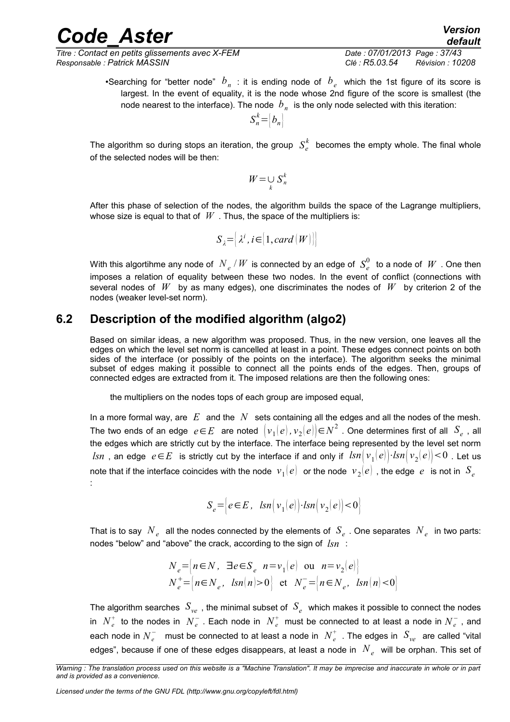*Titre : Contact en petits glissements avec X-FEM Date : 07/01/2013 Page : 37/43 Responsable : Patrick MASSIN Clé : R5.03.54 Révision : 10208*

•Searching for "better node"  $b_{n}$  : it is ending node of  $b_{e}$  which the 1st figure of its score is largest. In the event of equality, it is the node whose 2nd figure of the score is smallest (the node nearest to the interface). The node  $\ b_n^{}$  is the only node selected with this iteration:

$$
S_n^k = \left| b_n \right|
$$

The algorithm so during stops an iteration, the group  $\ S^k_e\>$  becomes the empty whole. The final whole of the selected nodes will be then:

$$
W = \bigcup_{k} S_{n}^{k}
$$

After this phase of selection of the nodes, the algorithm builds the space of the Lagrange multipliers, whose size is equal to that of  $W$ . Thus, the space of the multipliers is:

$$
S_{\lambda} = [\lambda^{i}, i \in [1, card(W)]
$$

With this algortihme any node of  $\left. N_{\textit{e}} \right/ W$  is connected by an edge of  $\textit{S}^{0}_{\textit{e}}\;$  to a node of  $\textit{W}$  . One then imposes a relation of equality between these two nodes. In the event of conflict (connections with several nodes of *W* by as many edges), one discriminates the nodes of *W* by criterion 2 of the nodes (weaker level-set norm).

## **6.2 Description of the modified algorithm (algo2)**

Based on similar ideas, a new algorithm was proposed. Thus, in the new version, one leaves all the edges on which the level set norm is cancelled at least in a point. These edges connect points on both sides of the interface (or possibly of the points on the interface). The algorithm seeks the minimal subset of edges making it possible to connect all the points ends of the edges. Then, groups of connected edges are extracted from it. The imposed relations are then the following ones:

the multipliers on the nodes tops of each group are imposed equal,

In a more formal way, are *E* and the *N* sets containing all the edges and all the nodes of the mesh. The two ends of an edge  $\;e\!\in\!E\;$  are noted  $\; \bigl\vert{v_1(e)\,,v_2(e)}\bigl\vert\!\in\!N^2$  . One determines first of all  $\;S_e$  , all the edges which are strictly cut by the interface. The interface being represented by the level set norm  $lsn$  , an edge  $\;e\!\in\!E\;$  is strictly cut by the interface if and only if  $\;lsn\bigl(\,v_1(e)\bigr)\!\cdot\!lsn\bigl(\,v_2(e)\bigr)\!<\!0$  . Let us note that if the interface coincides with the node  $\vert v_1(e)\vert$  or the node  $\vert v_2(e)\vert$  , the edge  $\vert e\vert$  is not in  $\vert S_e\vert$ :

$$
S_e = \left\{ e \in E, \quad \text{lsn} \left( v_1(e) \right) \cdot \text{lsn} \left( v_2(e) \right) < 0 \right\}
$$

That is to say  $\ N_{e}^{-}$  all the nodes connected by the elements of  $\ S_{e}$  . One separates  $\ N_{e}^{-}$  in two parts: nodes "below" and "above" the crack, according to the sign of *lsn* :

$$
N_e = \begin{cases} n \in N, & \exists e \in S_e \ n = v_1(e) \text{ ou } n = v_2(e) \\ N_e^+ = \begin{cases} n \in N_e, & \text{sin}(n) > 0 \end{cases} \text{ et } N_e^- = \begin{cases} n \in N_e, & \text{tan}(n) < 0 \end{cases}
$$

The algorithm searches  $\,S_{ve}\,$  , the minimal subset of  $\,S_{e}\,$  which makes it possible to connect the nodes in  $N_e^+$  to the nodes in  $N_e^-$  . Each node in  $N_e^+$  must be connected to at least a node in  $N_e^-$  , and each node in  $N_e^-$  must be connected to at least a node in  $\;N_e^+$  . The edges in  $\;S_{ve}\;$  are called "vital edges", because if one of these edges disappears, at least a node in  $\left. N_{\textit{e}}\right. \right.$  will be orphan. This set of

*Licensed under the terms of the GNU FDL (http://www.gnu.org/copyleft/fdl.html)*

*Warning : The translation process used on this website is a "Machine Translation". It may be imprecise and inaccurate in whole or in part and is provided as a convenience.*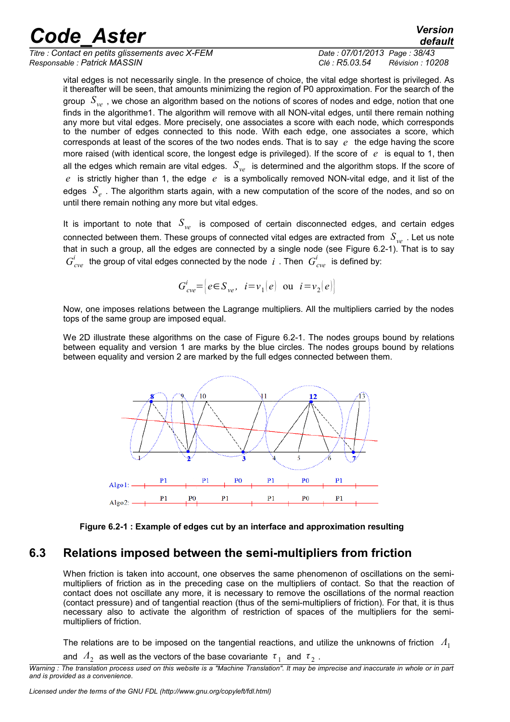| <b>Code Aster</b>                                | <b>Version</b><br>default    |
|--------------------------------------------------|------------------------------|
| Titre : Contact en petits glissements avec X-FEM | Date: 07/01/2013 Page: 38/43 |

*default Titre : Contact en petits glissements avec X-FEM Date : 07/01/2013 Page : 38/43 Responsable : Patrick MASSIN Clé : R5.03.54 Révision : 10208*

vital edges is not necessarily single. In the presence of choice, the vital edge shortest is privileged. As it thereafter will be seen, that amounts minimizing the region of P0 approximation. For the search of the group *Sve* , we chose an algorithm based on the notions of scores of nodes and edge, notion that one finds in the algorithme1. The algorithm will remove with all NON-vital edges, until there remain nothing any more but vital edges. More precisely, one associates a score with each node, which corresponds to the number of edges connected to this node. With each edge, one associates a score, which corresponds at least of the scores of the two nodes ends. That is to say *e* the edge having the score more raised (with identical score, the longest edge is privileged). If the score of *e* is equal to 1, then all the edges which remain are vital edges. *Sve* is determined and the algorithm stops. If the score of *e* is strictly higher than 1, the edge *e* is a symbolically removed NON-vital edge, and it list of the edges *S<sup>e</sup>* . The algorithm starts again, with a new computation of the score of the nodes, and so on until there remain nothing any more but vital edges.

It is important to note that *Sve* is composed of certain disconnected edges, and certain edges connected between them. These groups of connected vital edges are extracted from *Sve* . Let us note that in such a group, all the edges are connected by a single node (see [Figure 6.2-1\)](#page-37-0). That is to say  $G^{i}_{cve}$  the group of vital edges connected by the node  $i$  . Then  $\ G^{i}_{cve}$  is defined by:

$$
G_{\text{cve}}^i = \left[ e \in S_{\text{ve}}, \quad i = v_1(e) \quad \text{ou} \quad i = v_2(e) \right]
$$

Now, one imposes relations between the Lagrange multipliers. All the multipliers carried by the nodes tops of the same group are imposed equal.

We 2D illustrate these algorithms on the case of [Figure 6.2-1.](#page-37-0) The nodes groups bound by relations between equality and version 1 are marks by the blue circles. The nodes groups bound by relations between equality and version 2 are marked by the full edges connected between them.



<span id="page-37-0"></span>

## **6.3 Relations imposed between the semi-multipliers from friction**

When friction is taken into account, one observes the same phenomenon of oscillations on the semimultipliers of friction as in the preceding case on the multipliers of contact. So that the reaction of contact does not oscillate any more, it is necessary to remove the oscillations of the normal reaction (contact pressure) and of tangential reaction (thus of the semi-multipliers of friction). For that, it is thus necessary also to activate the algorithm of restriction of spaces of the multipliers for the semimultipliers of friction.

The relations are to be imposed on the tangential reactions, and utilize the unknowns of friction *Λ*<sup>1</sup>

and  $\vert A_2 \vert$  as well as the vectors of the base covariante  $\vert \tau_1 \vert$  and  $\vert \tau_2 \vert$ .

*Warning : The translation process used on this website is a "Machine Translation". It may be imprecise and inaccurate in whole or in part and is provided as a convenience.*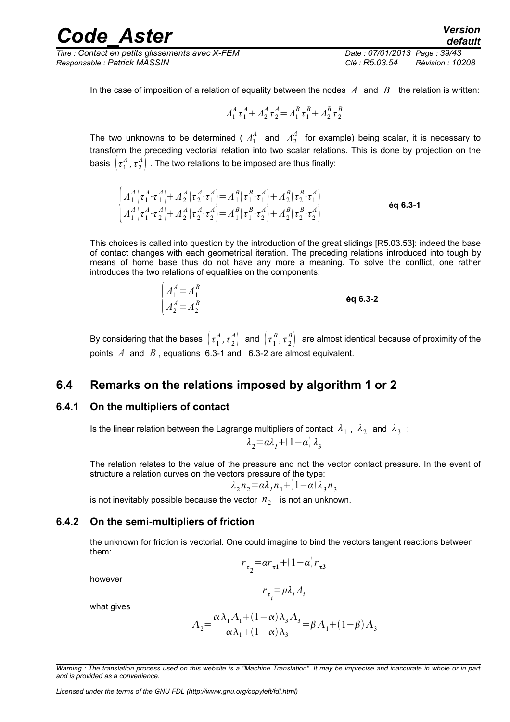*Titre : Contact en petits glissements avec X-FEM Date : 07/01/2013 Page : 39/43 Responsable : Patrick MASSIN Clé : R5.03.54 Révision : 10208*

<span id="page-38-1"></span>

In the case of imposition of a relation of equality between the nodes  $A$  and  $B$ , the relation is written:

$$
A_1^A \tau_1^A + A_2^A \tau_2^A = A_1^B \tau_1^B + A_2^B \tau_2^B
$$

The two unknowns to be determined (  $\varLambda_1^A$  and  $\varLambda_2^A$  for example) being scalar, it is necessary to transform the preceding vectorial relation into two scalar relations. This is done by projection on the basis  $\big\vert\tau_1^{\scriptscriptstyle A}$  $\frac{A}{1}$ ,  $\tau^A_2$  $\mathcal{A}_{2}^{A} \big)$  . The two relations to be imposed are thus finally:

$$
\begin{cases}\nA_1^A(\tau_1^A \cdot \tau_1^A) + A_2^A(\tau_2^A \cdot \tau_1^A) = A_1^B(\tau_1^B \cdot \tau_1^A) + A_2^B(\tau_2^B \cdot \tau_1^A) \\
A_1^A(\tau_1^A \cdot \tau_2^A) + A_2^A(\tau_2^A \cdot \tau_2^A) = A_1^B(\tau_1^B \cdot \tau_2^A) + A_2^B(\tau_2^B \cdot \tau_2^A)\n\end{cases}
$$
 6q 6.3-1

This choices is called into question by the introduction of the great slidings [R5.03.53]: indeed the base of contact changes with each geometrical iteration. The preceding relations introduced into tough by means of home base thus do not have any more a meaning. To solve the conflict, one rather introduces the two relations of equalities on the components:

$$
\begin{cases}\nA_1^A = A_1^B \\
A_2^A = A_2^B\n\end{cases}
$$
 6q 6.3-2

By considering that the bases  $\,\big\vert\,\tau_1^A\,$ *A ,τ* 2  $\begin{pmatrix} A \ 2 \end{pmatrix}$  and  $\begin{pmatrix} \tau_1^E \ \tau_2^E \end{pmatrix}$ *B ,τ* 2  $\binom{B}{2}$  are almost identical because of proximity of the points *A* and *B* , equations [6.3-1](#page-38-1) and [6.3-2](#page-38-0) are almost equivalent.

### **6.4 Remarks on the relations imposed by algorithm 1 or 2**

#### **6.4.1 On the multipliers of contact**

Is the linear relation between the Lagrange multipliers of contact  $\,\lambda_1^{}$  ,  $\,\lambda_2^{}$  and  $\,\lambda_3^{}$  :

<span id="page-38-0"></span>
$$
\lambda_2 = \alpha \lambda_1 + (1 - \alpha) \lambda_3
$$

The relation relates to the value of the pressure and not the vector contact pressure. In the event of structure a relation curves on the vectors pressure of the type:

$$
\lambda_2 n_2 = \alpha \lambda_1 n_1 + (1 - \alpha) \lambda_3 n_3
$$

is not inevitably possible because the vector  $n_{2}^{\parallel}$  is not an unknown.

#### **6.4.2 On the semi-multipliers of friction**

the unknown for friction is vectorial. One could imagine to bind the vectors tangent reactions between them:

$$
r_{\tau_2} = ar_{\tau_1} + (1 - \alpha) r_{\tau_3}
$$

however

$$
r_{\tau_i} = \mu \lambda_i A_i
$$

what gives

$$
\Lambda_2 = \frac{\alpha \lambda_1 A_1 + (1 - \alpha) \lambda_3 A_3}{\alpha \lambda_1 + (1 - \alpha) \lambda_3} = \beta A_1 + (1 - \beta) A_3
$$

*Licensed under the terms of the GNU FDL (http://www.gnu.org/copyleft/fdl.html)*

*Warning : The translation process used on this website is a "Machine Translation". It may be imprecise and inaccurate in whole or in part and is provided as a convenience.*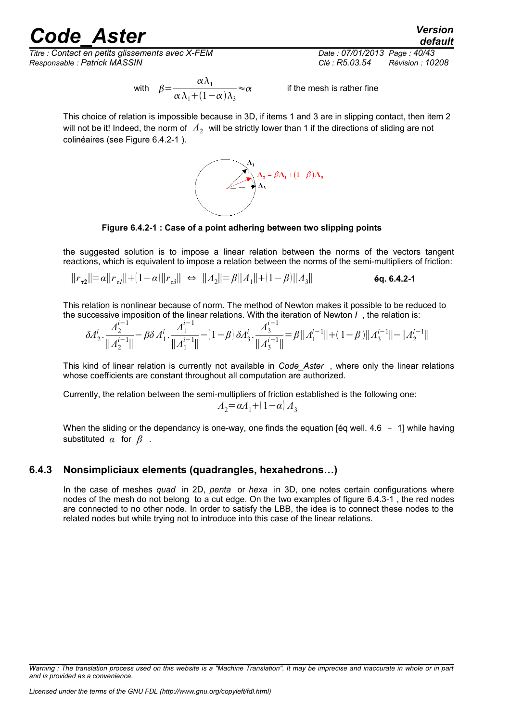*Titre : Contact en petits glissements avec X-FEM Date : 07/01/2013 Page : 40/43 Responsable : Patrick MASSIN Clé : R5.03.54 Révision : 10208*

*default*

with 
$$
\beta = \frac{\alpha \lambda_1}{\alpha \lambda_1 + (1 - \alpha) \lambda_3} \approx 0
$$

 $\alpha$  if the mesh is rather fine

This choice of relation is impossible because in 3D, if items 1 and 3 are in slipping contact, then item 2 will not be it! Indeed, the norm of  $\Lambda$ <sub>2</sub> will be strictly lower than 1 if the directions of sliding are not colinéaires (see [Figure 6.4.2-1](#page-39-0) ).



<span id="page-39-0"></span>**Figure 6.4.2-1 : Case of a point adhering between two slipping points**

the suggested solution is to impose a linear relation between the norms of the vectors tangent reactions, which is equivalent to impose a relation between the norms of the semi-multipliers of friction:

 $||r_{\tau2}||=α||r_{\tau1}||+(1−α)||r_{\tau3}||$  ⇔  $||A_2||=β||A_1||+(1−β)||A_3$ ∥ **éq. 6.4.2-1**

This relation is nonlinear because of norm. The method of Newton makes it possible to be reduced to the successive imposition of the linear relations. With the iteration of Newton *I* , the relation is:

$$
\delta \!{\varLambda_2^i} \cdot \frac{\varLambda_2^{i-1}}{\||\varLambda_2^{i-1}\|} \!-\beta \delta \varLambda_1^i \cdot \frac{\varLambda_1^{i-1}}{\|\varLambda_1^{i-1}\|} \!-\! (1-\beta) \, \delta \!{\varLambda_3^i} \cdot \frac{\varLambda_3^{i-1}}{\|\varLambda_3^{i-1}\|} \! = \! \beta \, \|\varLambda_1^{i-1}\| \!+\! (1-\beta) \|\varLambda_3^{i-1}\| \!-\! \|\varLambda_2^{i-1}\|
$$

This kind of linear relation is currently not available in *Code\_Aster* , where only the linear relations whose coefficients are constant throughout all computation are authorized.

Currently, the relation between the semi-multipliers of friction established is the following one:

$$
A_2 = \alpha A_1 + (1 - \alpha) A_3
$$

When the sliding or the dependancy is one-way, one finds the equation [eq well.  $4.6 - 1$ ] while having substituted *α* for *β* .

### **6.4.3 Nonsimpliciaux elements (quadrangles, hexahedrons…)**

In the case of meshes *quad* in 2D, *penta* or *hexa* in 3D, one notes certain configurations where nodes of the mesh do not belong to a cut edge. On the two examples of figure [6.4.3-1](#page-40-0) , the red nodes are connected to no other node. In order to satisfy the LBB, the idea is to connect these nodes to the related nodes but while trying not to introduce into this case of the linear relations.

*Warning : The translation process used on this website is a "Machine Translation". It may be imprecise and inaccurate in whole or in part and is provided as a convenience.*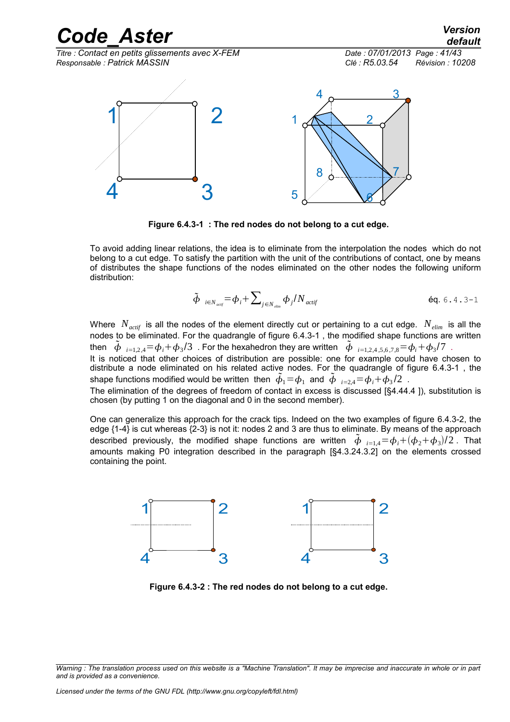

<span id="page-40-0"></span>**Figure 6.4.3-1 : The red nodes do not belong to a cut edge.**

To avoid adding linear relations, the idea is to eliminate from the interpolation the nodes which do not belong to a cut edge. To satisfy the partition with the unit of the contributions of contact, one by means of distributes the shape functions of the nodes eliminated on the other nodes the following uniform distribution:

$$
\tilde{\boldsymbol{\phi}}_{i \in N_{\text{active}}} = \boldsymbol{\phi}_i + \sum_{j \in N_{\text{elim}}} \boldsymbol{\phi}_j / N_{\text{active}} \tag{6q. 6.4.3-1}
$$

Where  $N_{\text{acrit}}$  is all the nodes of the element directly cut or pertaining to a cut edge.  $N_{\text{elim}}$  is all the nodes to be eliminated. For the quadrangle of figure [6.4.3-1](#page-40-0) , the modified shape functions are written then  $\tilde{\phi}_{i=1,2,4} = \phi_i + \phi_3/3$  . For the hexahedron they are written  $\tilde{\phi}_{i=1,2,4,5,6,7,8} = \phi_i + \phi_3/7$  . It is noticed that other choices of distribution are possible: one for example could have chosen to

distribute a node eliminated on his related active nodes. For the quadrangle of figure [6.4.3-1](#page-40-0) , the shape functions modified would be written then  $\,\tilde{\phi}_1\!=\!\phi_1\,$  and  $\,\tilde{\phi}\,\,$   $_{i=2,4}\!=\!\phi_i\!+\!\phi_3/2\,$  .

The elimination of the degrees of freedom of contact in excess is discussed [§4.[44.4](#page-19-2) ]), substitution is chosen (by putting 1 on the diagonal and 0 in the second member).

One can generalize this approach for the crack tips. Indeed on the two examples of figure [6.4.3-2,](#page-40-1) the edge {1-4} is cut whereas {2-3} is not it: nodes 2 and 3 are thus to eliminate. By means of the approach described previously, the modified shape functions are written  $\tilde{\phi}_{i=1,4} = \phi_i + (\phi_2 + \phi_3)/2$ . That amounts making P0 integration described in the paragraph [§4.3.[24.3.2\]](#page-16-0) on the elements crossed containing the point.



<span id="page-40-1"></span>**Figure 6.4.3-2 : The red nodes do not belong to a cut edge.**

*Warning : The translation process used on this website is a "Machine Translation". It may be imprecise and inaccurate in whole or in part and is provided as a convenience.*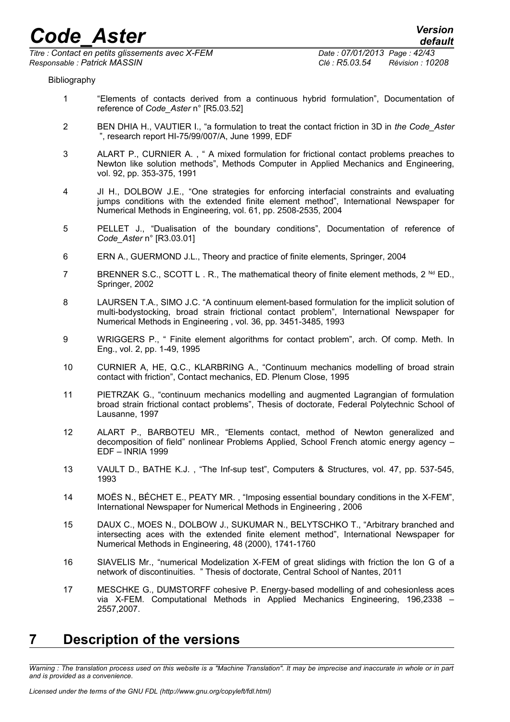*Titre : Contact en petits glissements avec X-FEM Date : 07/01/2013 Page : 42/43 Responsable : Patrick MASSIN Clé : R5.03.54 Révision : 10208*

#### Bibliography

- <span id="page-41-0"></span>1 "Elements of contacts derived from a continuous hybrid formulation", Documentation of reference of *Code\_Aster* n° [R5.03.52]
- <span id="page-41-7"></span>2 BEN DHIA H., VAUTIER I., "a formulation to treat the contact friction in 3D in *the Code\_Aster* ", research report HI-75/99/007/A, June 1999, EDF
- <span id="page-41-6"></span>3 ALART P., CURNIER A. , " A mixed formulation for frictional contact problems preaches to Newton like solution methods", Methods Computer in Applied Mechanics and Engineering, vol. 92, pp. 353-375, 1991
- 4 JI H., DOLBOW J.E., "One strategies for enforcing interfacial constraints and evaluating jumps conditions with the extended finite element method", International Newspaper for Numerical Methods in Engineering, vol. 61, pp. 2508-2535, 2004
- <span id="page-41-9"></span>5 PELLET J., "Dualisation of the boundary conditions", Documentation of reference of *Code\_Aster* n° [R3.03.01]
- 6 ERN A., GUERMOND J.L., Theory and practice of finite elements, Springer, 2004
- 7 BRENNER S.C., SCOTT L . R., The mathematical theory of finite element methods,  $2^{Nd}$  ED., Springer, 2002
- <span id="page-41-5"></span>8 LAURSEN T.A., SIMO J.C. "A continuum element-based formulation for the implicit solution of multi-bodystocking, broad strain frictional contact problem", International Newspaper for Numerical Methods in Engineering , vol. 36, pp. 3451-3485, 1993
- <span id="page-41-4"></span>9 WRIGGERS P., " Finite element algorithms for contact problem", arch. Of comp. Meth. In Eng., vol. 2, pp. 1-49, 1995
- <span id="page-41-3"></span>10 CURNIER A, HE, Q.C., KLARBRING A., "Continuum mechanics modelling of broad strain contact with friction", Contact mechanics, ED. Plenum Close, 1995
- <span id="page-41-2"></span>11 PIETRZAK G., "continuum mechanics modelling and augmented Lagrangian of formulation broad strain frictional contact problems", Thesis of doctorate, Federal Polytechnic School of Lausanne, 1997
- <span id="page-41-1"></span>12 ALART P., BARBOTEU MR., "Elements contact, method of Newton generalized and decomposition of field" nonlinear Problems Applied, School French atomic energy agency – EDF – INRIA 1999
- <span id="page-41-11"></span>13 VAULT D., BATHE K.J. , "The Inf-sup test", Computers & Structures, vol. 47, pp. 537-545, 1993
- <span id="page-41-10"></span>14 MOËS N., BÉCHET E., PEATY MR. , "Imposing essential boundary conditions in the X-FEM", International Newspaper for Numerical Methods in Engineering *,* 2006
- 15 DAUX C., MOES N., DOLBOW J., SUKUMAR N., BELYTSCHKO T., "Arbitrary branched and intersecting aces with the extended finite element method", International Newspaper for Numerical Methods in Engineering, 48 (2000), 1741-1760
- 16 SIAVELIS Mr., "numerical Modelization X-FEM of great slidings with friction the lon G of a network of discontinuities. " Thesis of doctorate, Central School of Nantes, 2011
- <span id="page-41-8"></span>17 MESCHKE G., DUMSTORFF cohesive P. Energy-based modelling of and cohesionless aces via X-FEM. Computational Methods in Applied Mechanics Engineering, 196,2338 – 2557,2007.

## **7 Description of the versions**

*Warning : The translation process used on this website is a "Machine Translation". It may be imprecise and inaccurate in whole or in part and is provided as a convenience.*